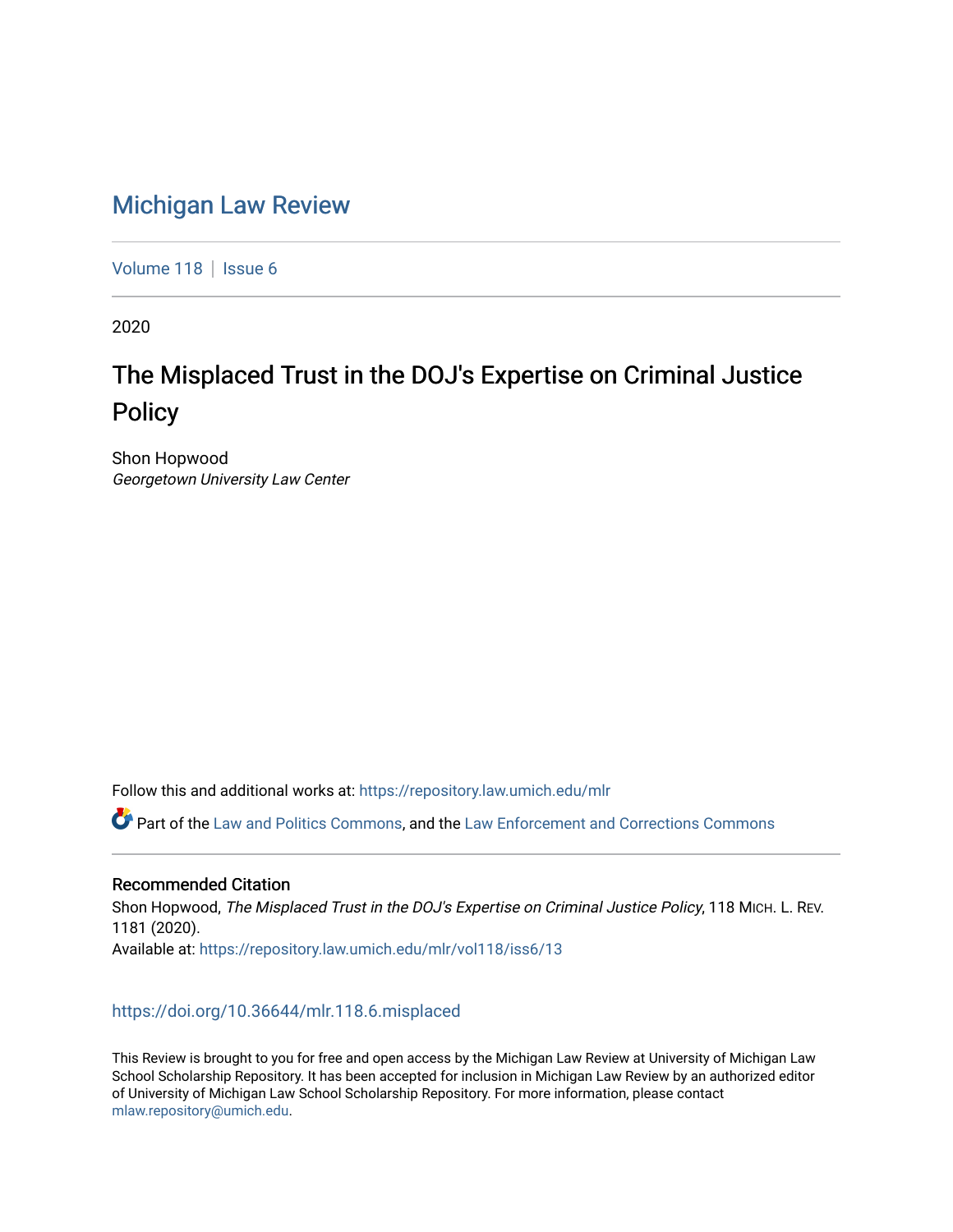# [Michigan Law Review](https://repository.law.umich.edu/mlr)

[Volume 118](https://repository.law.umich.edu/mlr/vol118) | [Issue 6](https://repository.law.umich.edu/mlr/vol118/iss6)

2020

# The Misplaced Trust in the DOJ's Expertise on Criminal Justice **Policy**

Shon Hopwood Georgetown University Law Center

Follow this and additional works at: [https://repository.law.umich.edu/mlr](https://repository.law.umich.edu/mlr?utm_source=repository.law.umich.edu%2Fmlr%2Fvol118%2Fiss6%2F13&utm_medium=PDF&utm_campaign=PDFCoverPages) 

Part of the [Law and Politics Commons,](http://network.bepress.com/hgg/discipline/867?utm_source=repository.law.umich.edu%2Fmlr%2Fvol118%2Fiss6%2F13&utm_medium=PDF&utm_campaign=PDFCoverPages) and the [Law Enforcement and Corrections Commons](http://network.bepress.com/hgg/discipline/854?utm_source=repository.law.umich.edu%2Fmlr%2Fvol118%2Fiss6%2F13&utm_medium=PDF&utm_campaign=PDFCoverPages)

## Recommended Citation

Shon Hopwood, The Misplaced Trust in the DOJ's Expertise on Criminal Justice Policy, 118 MICH. L. REV. 1181 (2020). Available at: [https://repository.law.umich.edu/mlr/vol118/iss6/13](https://repository.law.umich.edu/mlr/vol118/iss6/13?utm_source=repository.law.umich.edu%2Fmlr%2Fvol118%2Fiss6%2F13&utm_medium=PDF&utm_campaign=PDFCoverPages) 

## <https://doi.org/10.36644/mlr.118.6.misplaced>

This Review is brought to you for free and open access by the Michigan Law Review at University of Michigan Law School Scholarship Repository. It has been accepted for inclusion in Michigan Law Review by an authorized editor of University of Michigan Law School Scholarship Repository. For more information, please contact [mlaw.repository@umich.edu.](mailto:mlaw.repository@umich.edu)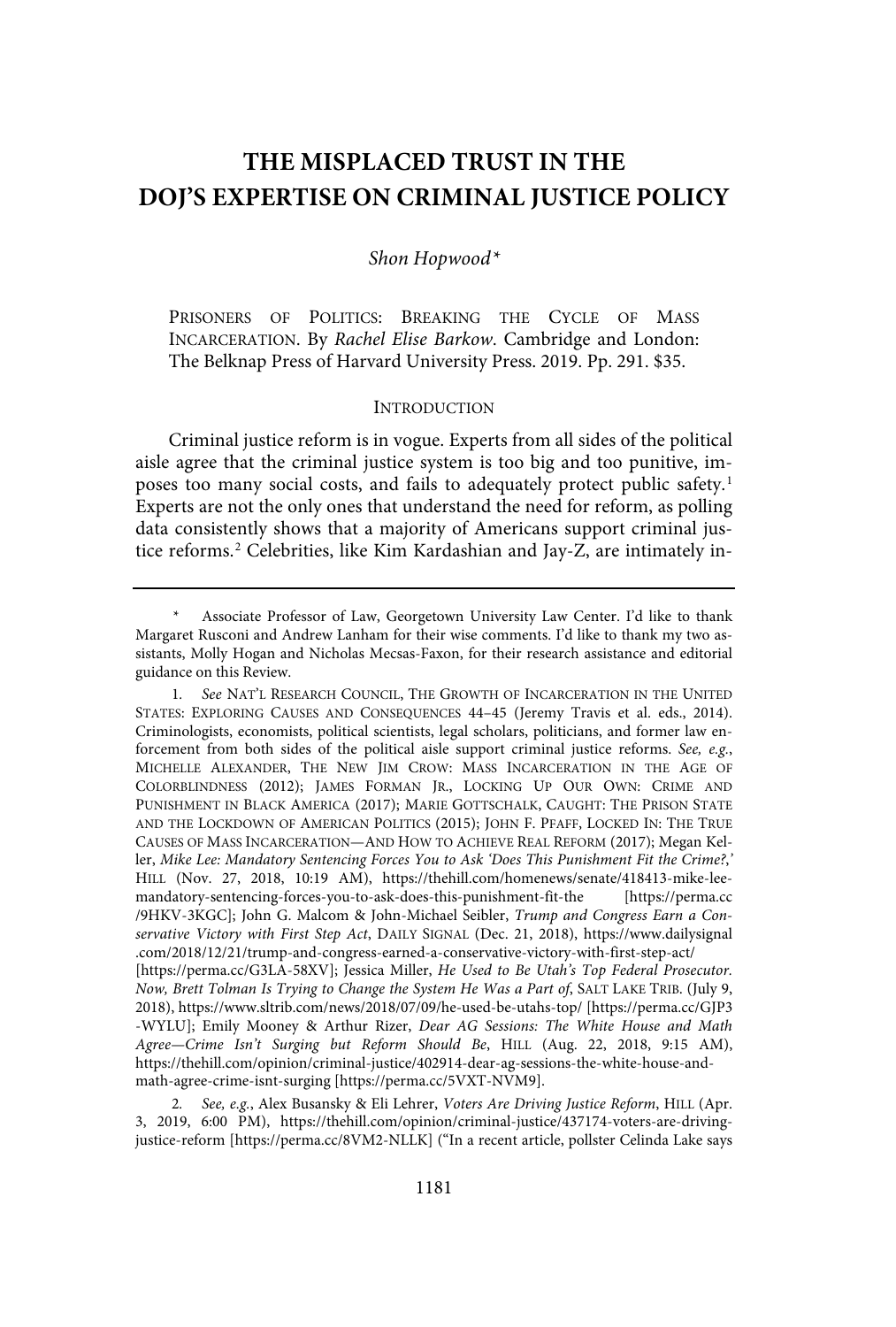## **THE MISPLACED TRUST IN THE DOJ'S EXPERTISE ON CRIMINAL JUSTICE POLICY**

#### Shon Hopwood\*

PRISONERS OF POLITICS: BREAKING THE CYCLE OF MASS INCARCERATION. By Rachel Elise Barkow. Cambridge and London: The Belknap Press of Harvard University Press. 2019. Pp. 291. \$35.

#### **INTRODUCTION**

Criminal justice reform is in vogue. Experts from all sides of the political aisle agree that the criminal justice system is too big and too punitive, imposes too many social costs, and fails to adequately protect public safety.<sup>1</sup> Experts are not the only ones that understand the need for reform, as polling data consistently shows that a majority of Americans support criminal justice reforms.<sup>2</sup> Celebrities, like Kim Kardashian and Jay-Z, are intimately in-

Associate Professor of Law, Georgetown University Law Center. I'd like to thank Margaret Rusconi and Andrew Lanham for their wise comments. I'd like to thank my two assistants, Molly Hogan and Nicholas Mecsas-Faxon, for their research assistance and editorial guidance on this Review.

<sup>1</sup>. See NAT'L RESEARCH COUNCIL, THE GROWTH OF INCARCERATION IN THE UNITED STATES: EXPLORING CAUSES AND CONSEQUENCES 44–45 (Jeremy Travis et al. eds., 2014). Criminologists, economists, political scientists, legal scholars, politicians, and former law enforcement from both sides of the political aisle support criminal justice reforms. See, e.g., MICHELLE ALEXANDER, THE NEW JIM CROW: MASS INCARCERATION IN THE AGE OF COLORBLINDNESS (2012); JAMES FORMAN JR., LOCKING UP OUR OWN: CRIME AND PUNISHMENT IN BLACK AMERICA (2017); MARIE GOTTSCHALK, CAUGHT: THE PRISON STATE AND THE LOCKDOWN OF AMERICAN POLITICS (2015); JOHN F. PFAFF, LOCKED IN: THE TRUE CAUSES OF MASS INCARCERATION—AND HOW TO ACHIEVE REAL REFORM (2017); Megan Keller, Mike Lee: Mandatory Sentencing Forces You to Ask 'Does This Punishment Fit the Crime?,' HILL (Nov. 27, 2018, 10:19 AM), https://thehill.com/homenews/senate/418413-mike-leemandatory-sentencing-forces-you-to-ask-does-this-punishment-fit-the [https://perma.cc /9HKV-3KGC]; John G. Malcom & John-Michael Seibler, Trump and Congress Earn a Conservative Victory with First Step Act, DAILY SIGNAL (Dec. 21, 2018), https://www.dailysignal .com/2018/12/21/trump-and-congress-earned-a-conservative-victory-with-first-step-act/ [https://perma.cc/G3LA-58XV]; Jessica Miller, He Used to Be Utah's Top Federal Prosecutor. Now, Brett Tolman Is Trying to Change the System He Was a Part of, SALT LAKE TRIB. (July 9, 2018), https://www.sltrib.com/news/2018/07/09/he-used-be-utahs-top/ [https://perma.cc/GJP3 -WYLU]; Emily Mooney & Arthur Rizer, Dear AG Sessions: The White House and Math Agree—Crime Isn't Surging but Reform Should Be, HILL (Aug. 22, 2018, 9:15 AM), https://thehill.com/opinion/criminal-justice/402914-dear-ag-sessions-the-white-house-andmath-agree-crime-isnt-surging [https://perma.cc/5VXT-NVM9].

<sup>2.</sup> See, e.g., Alex Busansky & Eli Lehrer, Voters Are Driving Justice Reform, HILL (Apr. 3, 2019, 6:00 PM), https://thehill.com/opinion/criminal-justice/437174-voters-are-drivingjustice-reform [https://perma.cc/8VM2-NLLK] ("In a recent article, pollster Celinda Lake says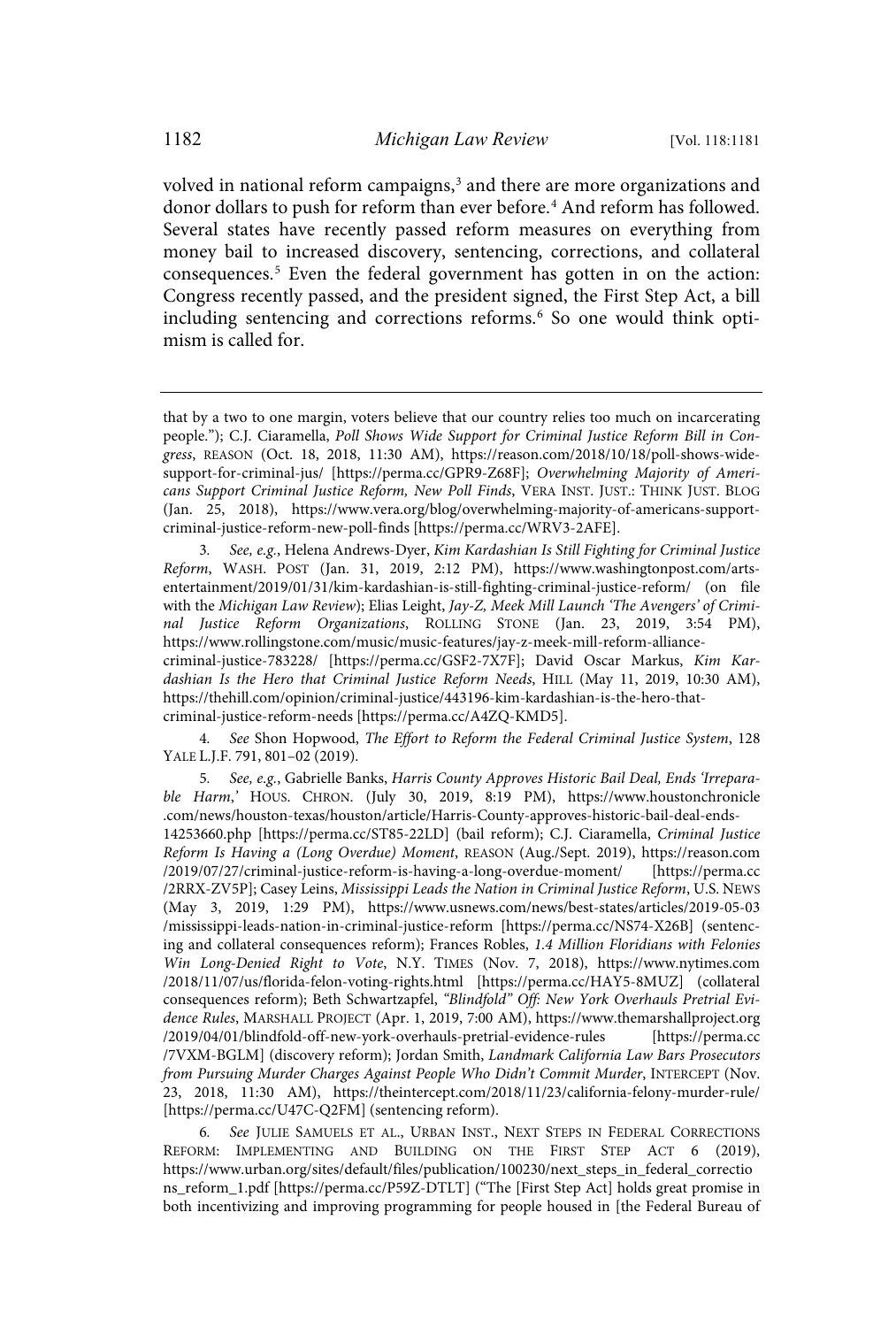volved in national reform campaigns, 3 and there are more organizations and donor dollars to push for reform than ever before. <sup>4</sup> And reform has followed. Several states have recently passed reform measures on everything from money bail to increased discovery, sentencing, corrections, and collateral consequences.<sup>5</sup> Even the federal government has gotten in on the action: Congress recently passed, and the president signed, the First Step Act, a bill including sentencing and corrections reforms.<sup>6</sup> So one would think optimism is called for.

3. See, e.g., Helena Andrews-Dyer, Kim Kardashian Is Still Fighting for Criminal Justice Reform, WASH. POST (Jan. 31, 2019, 2:12 PM), https://www.washingtonpost.com/artsentertainment/2019/01/31/kim-kardashian-is-still-fighting-criminal-justice-reform/ (on file with the Michigan Law Review); Elias Leight, Jay-Z, Meek Mill Launch 'The Avengers' of Criminal Justice Reform Organizations, ROLLING STONE (Jan. 23, 2019, 3:54 PM), https://www.rollingstone.com/music/music-features/jay-z-meek-mill-reform-alliance-

criminal-justice-783228/ [https://perma.cc/GSF2-7X7F]; David Oscar Markus, Kim Kardashian Is the Hero that Criminal Justice Reform Needs, HILL (May 11, 2019, 10:30 AM), https://thehill.com/opinion/criminal-justice/443196-kim-kardashian-is-the-hero-that-

criminal-justice-reform-needs [https://perma.cc/A4ZQ-KMD5].

See Shon Hopwood, The Effort to Reform the Federal Criminal Justice System, 128 YALE L.J.F. 791, 801–02 (2019).

5. See, e.g., Gabrielle Banks, Harris County Approves Historic Bail Deal, Ends 'Irreparable Harm,' HOUS. CHRON. (July 30, 2019, 8:19 PM), https://www.houstonchronicle .com/news/houston-texas/houston/article/Harris-County-approves-historic-bail-deal-ends-14253660.php [https://perma.cc/ST85-22LD] (bail reform); C.J. Ciaramella, Criminal Justice Reform Is Having a (Long Overdue) Moment, REASON (Aug./Sept. 2019), https://reason.com /2019/07/27/criminal-justice-reform-is-having-a-long-overdue-moment/ [https://perma.cc /2RRX-ZV5P]; Casey Leins, Mississippi Leads the Nation in Criminal Justice Reform, U.S. NEWS (May 3, 2019, 1:29 PM), https://www.usnews.com/news/best-states/articles/2019-05-03 /mississippi-leads-nation-in-criminal-justice-reform [https://perma.cc/NS74-X26B] (sentencing and collateral consequences reform); Frances Robles, 1.4 Million Floridians with Felonies Win Long-Denied Right to Vote, N.Y. TIMES (Nov. 7, 2018), https://www.nytimes.com /2018/11/07/us/florida-felon-voting-rights.html [https://perma.cc/HAY5-8MUZ] (collateral consequences reform); Beth Schwartzapfel, "Blindfold" Off: New York Overhauls Pretrial Evidence Rules, MARSHALL PROJECT (Apr. 1, 2019, 7:00 AM), https://www.themarshallproject.org /2019/04/01/blindfold-off-new-york-overhauls-pretrial-evidence-rules [https://perma.cc /7VXM-BGLM] (discovery reform); Jordan Smith, Landmark California Law Bars Prosecutors from Pursuing Murder Charges Against People Who Didn't Commit Murder, INTERCEPT (Nov. 23, 2018, 11:30 AM), https://theintercept.com/2018/11/23/california-felony-murder-rule/ [https://perma.cc/U47C-Q2FM] (sentencing reform).

6. See JULIE SAMUELS ET AL., URBAN INST., NEXT STEPS IN FEDERAL CORRECTIONS REFORM: IMPLEMENTING AND BUILDING ON THE FIRST STEP ACT 6 (2019), https://www.urban.org/sites/default/files/publication/100230/next\_steps\_in\_federal\_correctio ns\_reform\_1.pdf [https://perma.cc/P59Z-DTLT] ("The [First Step Act] holds great promise in both incentivizing and improving programming for people housed in [the Federal Bureau of

that by a two to one margin, voters believe that our country relies too much on incarcerating people."); C.J. Ciaramella, Poll Shows Wide Support for Criminal Justice Reform Bill in Congress, REASON (Oct. 18, 2018, 11:30 AM), https://reason.com/2018/10/18/poll-shows-widesupport-for-criminal-jus/ [https://perma.cc/GPR9-Z68F]; Overwhelming Majority of Americans Support Criminal Justice Reform, New Poll Finds, VERA INST. JUST.: THINK JUST. BLOG (Jan. 25, 2018), https://www.vera.org/blog/overwhelming-majority-of-americans-supportcriminal-justice-reform-new-poll-finds [https://perma.cc/WRV3-2AFE].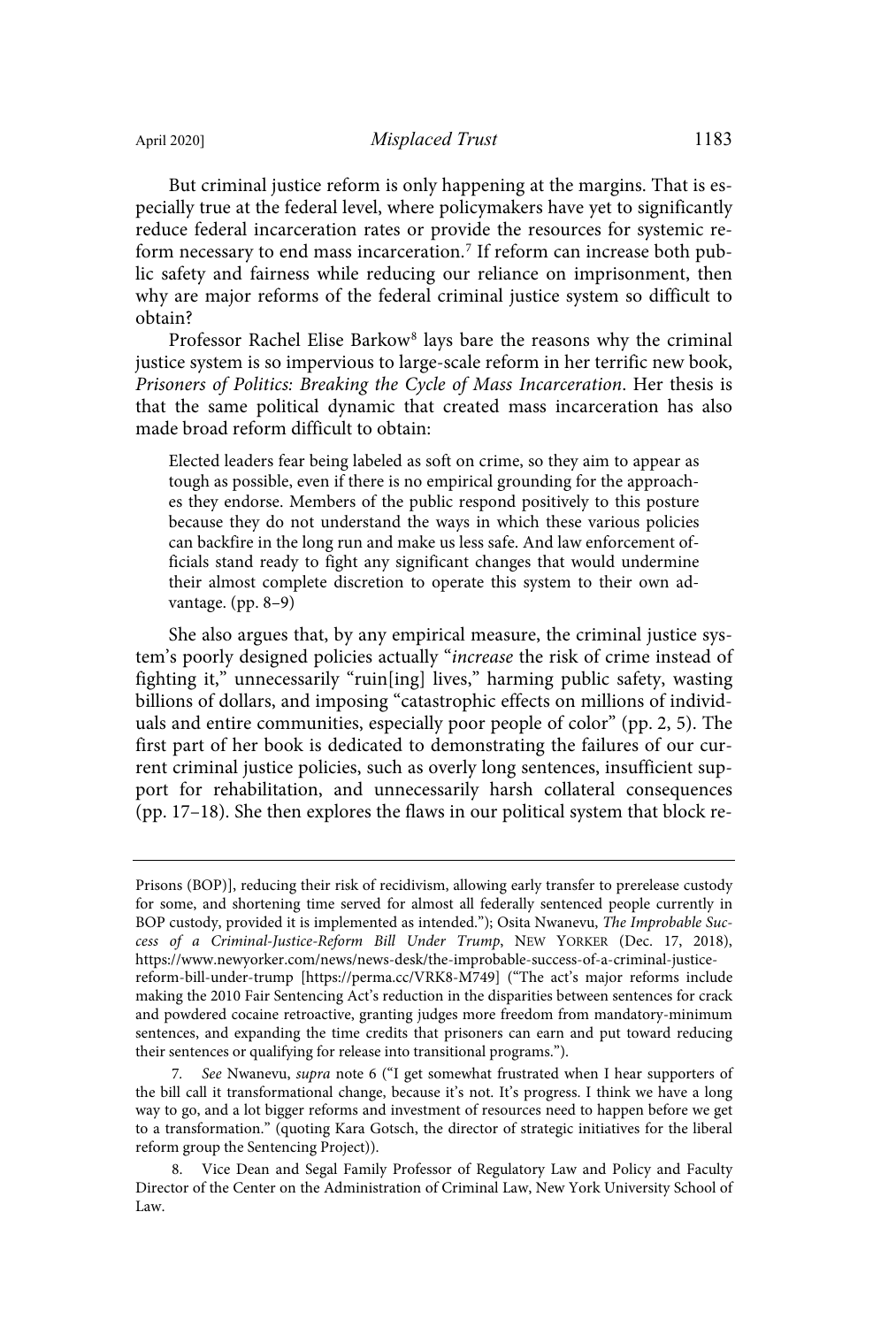But criminal justice reform is only happening at the margins. That is especially true at the federal level, where policymakers have yet to significantly reduce federal incarceration rates or provide the resources for systemic reform necessary to end mass incarceration.<sup>7</sup> If reform can increase both public safety and fairness while reducing our reliance on imprisonment, then why are major reforms of the federal criminal justice system so difficult to obtain?

Professor Rachel Elise Barkow<sup>8</sup> lays bare the reasons why the criminal justice system is so impervious to large-scale reform in her terrific new book, Prisoners of Politics: Breaking the Cycle of Mass Incarceration. Her thesis is that the same political dynamic that created mass incarceration has also made broad reform difficult to obtain:

Elected leaders fear being labeled as soft on crime, so they aim to appear as tough as possible, even if there is no empirical grounding for the approaches they endorse. Members of the public respond positively to this posture because they do not understand the ways in which these various policies can backfire in the long run and make us less safe. And law enforcement officials stand ready to fight any significant changes that would undermine their almost complete discretion to operate this system to their own advantage. (pp. 8–9)

She also argues that, by any empirical measure, the criminal justice system's poorly designed policies actually "increase the risk of crime instead of fighting it," unnecessarily "ruin[ing] lives," harming public safety, wasting billions of dollars, and imposing "catastrophic effects on millions of individuals and entire communities, especially poor people of color" (pp. 2, 5). The first part of her book is dedicated to demonstrating the failures of our current criminal justice policies, such as overly long sentences, insufficient support for rehabilitation, and unnecessarily harsh collateral consequences (pp. 17–18). She then explores the flaws in our political system that block re-

7. See Nwanevu, supra note 6 ("I get somewhat frustrated when I hear supporters of the bill call it transformational change, because it's not. It's progress. I think we have a long way to go, and a lot bigger reforms and investment of resources need to happen before we get to a transformation." (quoting Kara Gotsch, the director of strategic initiatives for the liberal reform group the Sentencing Project)).

Prisons (BOP)], reducing their risk of recidivism, allowing early transfer to prerelease custody for some, and shortening time served for almost all federally sentenced people currently in BOP custody, provided it is implemented as intended."); Osita Nwanevu, The Improbable Success of a Criminal-Justice-Reform Bill Under Trump, NEW YORKER (Dec. 17, 2018), https://www.newyorker.com/news/news-desk/the-improbable-success-of-a-criminal-justicereform-bill-under-trump [https://perma.cc/VRK8-M749] ("The act's major reforms include making the 2010 Fair Sentencing Act's reduction in the disparities between sentences for crack and powdered cocaine retroactive, granting judges more freedom from mandatory-minimum sentences, and expanding the time credits that prisoners can earn and put toward reducing their sentences or qualifying for release into transitional programs.").

<sup>8.</sup> Vice Dean and Segal Family Professor of Regulatory Law and Policy and Faculty Director of the Center on the Administration of Criminal Law, New York University School of Law.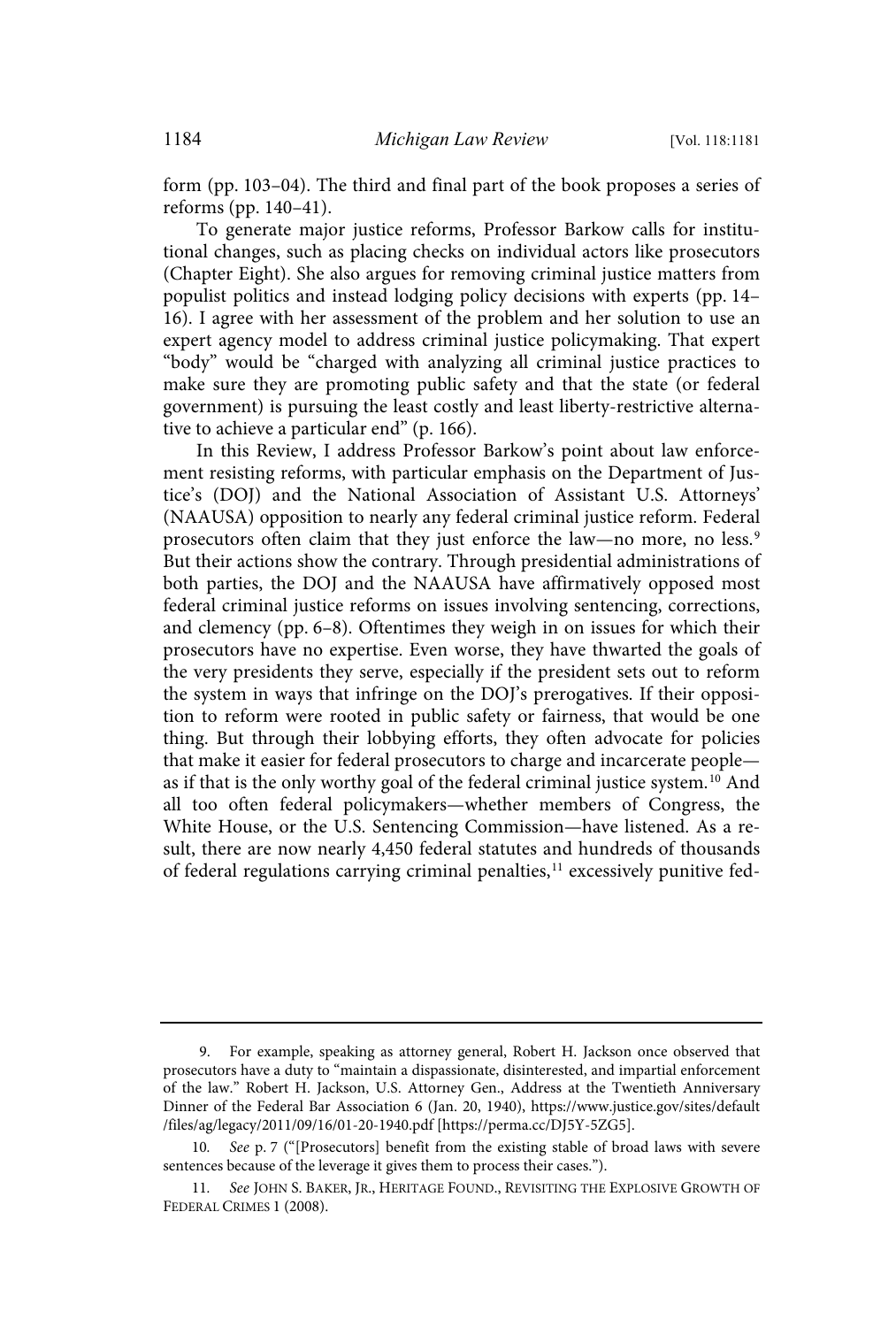form (pp. 103–04). The third and final part of the book proposes a series of reforms (pp. 140–41).

To generate major justice reforms, Professor Barkow calls for institutional changes, such as placing checks on individual actors like prosecutors (Chapter Eight). She also argues for removing criminal justice matters from populist politics and instead lodging policy decisions with experts (pp. 14– 16). I agree with her assessment of the problem and her solution to use an expert agency model to address criminal justice policymaking. That expert "body" would be "charged with analyzing all criminal justice practices to make sure they are promoting public safety and that the state (or federal government) is pursuing the least costly and least liberty-restrictive alternative to achieve a particular end" (p. 166).

In this Review, I address Professor Barkow's point about law enforcement resisting reforms, with particular emphasis on the Department of Justice's (DOJ) and the National Association of Assistant U.S. Attorneys' (NAAUSA) opposition to nearly any federal criminal justice reform. Federal prosecutors often claim that they just enforce the law—no more, no less.<sup>9</sup> But their actions show the contrary. Through presidential administrations of both parties, the DOJ and the NAAUSA have affirmatively opposed most federal criminal justice reforms on issues involving sentencing, corrections, and clemency (pp. 6–8). Oftentimes they weigh in on issues for which their prosecutors have no expertise. Even worse, they have thwarted the goals of the very presidents they serve, especially if the president sets out to reform the system in ways that infringe on the DOJ's prerogatives. If their opposition to reform were rooted in public safety or fairness, that would be one thing. But through their lobbying efforts, they often advocate for policies that make it easier for federal prosecutors to charge and incarcerate people as if that is the only worthy goal of the federal criminal justice system.<sup>10</sup> And all too often federal policymakers—whether members of Congress, the White House, or the U.S. Sentencing Commission—have listened. As a result, there are now nearly 4,450 federal statutes and hundreds of thousands of federal regulations carrying criminal penalties,<sup>11</sup> excessively punitive fed-

<sup>9.</sup> For example, speaking as attorney general, Robert H. Jackson once observed that prosecutors have a duty to "maintain a dispassionate, disinterested, and impartial enforcement of the law." Robert H. Jackson, U.S. Attorney Gen., Address at the Twentieth Anniversary Dinner of the Federal Bar Association 6 (Jan. 20, 1940), https://www.justice.gov/sites/default /files/ag/legacy/2011/09/16/01-20-1940.pdf [https://perma.cc/DJ5Y-5ZG5].

<sup>10</sup>. See p. 7 ("[Prosecutors] benefit from the existing stable of broad laws with severe sentences because of the leverage it gives them to process their cases.").

<sup>11</sup>. See JOHN S. BAKER, JR., HERITAGE FOUND., REVISITING THE EXPLOSIVE GROWTH OF FEDERAL CRIMES 1 (2008).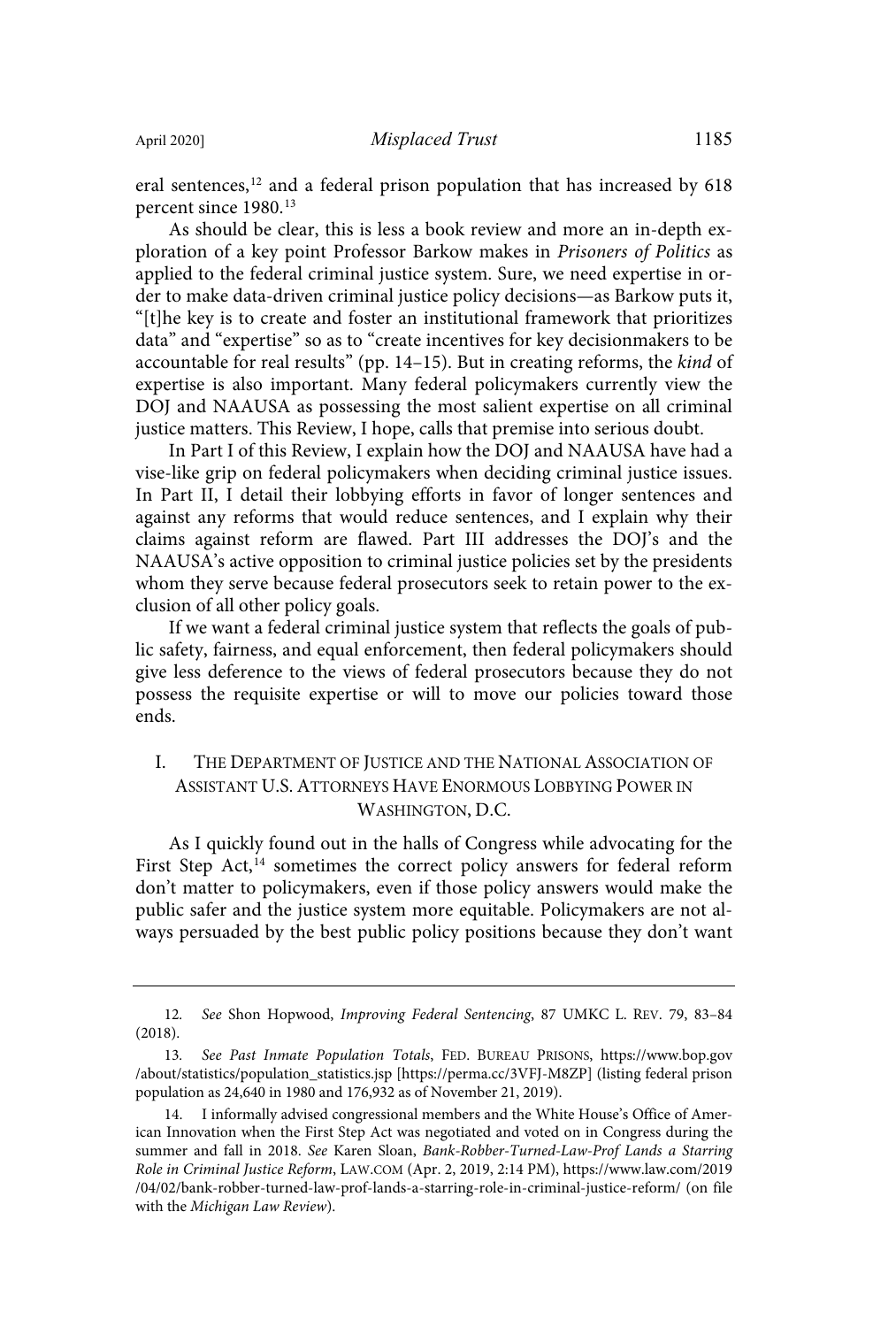eral sentences, <sup>12</sup> and a federal prison population that has increased by 618 percent since 1980.<sup>13</sup>

As should be clear, this is less a book review and more an in-depth exploration of a key point Professor Barkow makes in Prisoners of Politics as applied to the federal criminal justice system. Sure, we need expertise in order to make data-driven criminal justice policy decisions—as Barkow puts it, "[t]he key is to create and foster an institutional framework that prioritizes data" and "expertise" so as to "create incentives for key decisionmakers to be accountable for real results" (pp. 14-15). But in creating reforms, the kind of expertise is also important. Many federal policymakers currently view the DOJ and NAAUSA as possessing the most salient expertise on all criminal justice matters. This Review, I hope, calls that premise into serious doubt.

In Part I of this Review, I explain how the DOJ and NAAUSA have had a vise-like grip on federal policymakers when deciding criminal justice issues. In Part II, I detail their lobbying efforts in favor of longer sentences and against any reforms that would reduce sentences, and I explain why their claims against reform are flawed. Part III addresses the DOJ's and the NAAUSA's active opposition to criminal justice policies set by the presidents whom they serve because federal prosecutors seek to retain power to the exclusion of all other policy goals.

If we want a federal criminal justice system that reflects the goals of public safety, fairness, and equal enforcement, then federal policymakers should give less deference to the views of federal prosecutors because they do not possess the requisite expertise or will to move our policies toward those ends.

### I. THE DEPARTMENT OF JUSTICE AND THE NATIONAL ASSOCIATION OF ASSISTANT U.S. ATTORNEYS HAVE ENORMOUS LOBBYING POWER IN WASHINGTON, D.C.

As I quickly found out in the halls of Congress while advocating for the First Step Act,<sup>14</sup> sometimes the correct policy answers for federal reform don't matter to policymakers, even if those policy answers would make the public safer and the justice system more equitable. Policymakers are not always persuaded by the best public policy positions because they don't want

<sup>12</sup>. See Shon Hopwood, Improving Federal Sentencing, 87 UMKC L. REV. 79, 83–84 (2018).

<sup>13</sup>. See Past Inmate Population Totals, FED. BUREAU PRISONS, https://www.bop.gov /about/statistics/population\_statistics.jsp [https://perma.cc/3VFJ-M8ZP] (listing federal prison population as 24,640 in 1980 and 176,932 as of November 21, 2019).

<sup>14.</sup> I informally advised congressional members and the White House's Office of American Innovation when the First Step Act was negotiated and voted on in Congress during the summer and fall in 2018. See Karen Sloan, Bank-Robber-Turned-Law-Prof Lands a Starring Role in Criminal Justice Reform, LAW.COM (Apr. 2, 2019, 2:14 PM), https://www.law.com/2019 /04/02/bank-robber-turned-law-prof-lands-a-starring-role-in-criminal-justice-reform/ (on file with the Michigan Law Review).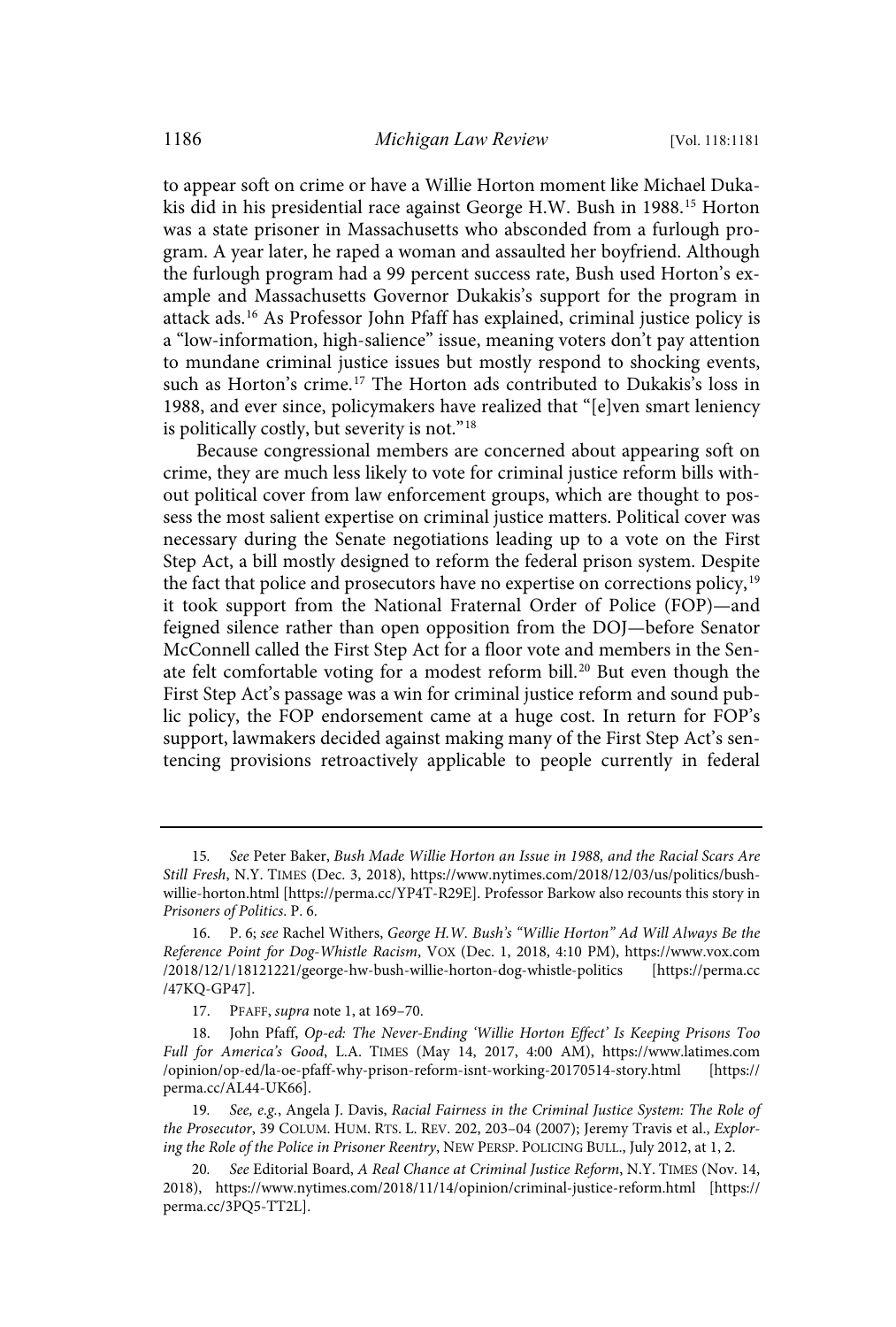to appear soft on crime or have a Willie Horton moment like Michael Dukakis did in his presidential race against George H.W. Bush in 1988. <sup>15</sup> Horton was a state prisoner in Massachusetts who absconded from a furlough program. A year later, he raped a woman and assaulted her boyfriend. Although the furlough program had a 99 percent success rate, Bush used Horton's example and Massachusetts Governor Dukakis's support for the program in attack ads.<sup>16</sup> As Professor John Pfaff has explained, criminal justice policy is a "low-information, high-salience" issue, meaning voters don't pay attention to mundane criminal justice issues but mostly respond to shocking events, such as Horton's crime.<sup>17</sup> The Horton ads contributed to Dukakis's loss in 1988, and ever since, policymakers have realized that "[e]ven smart leniency is politically costly, but severity is not."<sup>18</sup>

Because congressional members are concerned about appearing soft on crime, they are much less likely to vote for criminal justice reform bills without political cover from law enforcement groups, which are thought to possess the most salient expertise on criminal justice matters. Political cover was necessary during the Senate negotiations leading up to a vote on the First Step Act, a bill mostly designed to reform the federal prison system. Despite the fact that police and prosecutors have no expertise on corrections policy,<sup>19</sup> it took support from the National Fraternal Order of Police (FOP)—and feigned silence rather than open opposition from the DOJ—before Senator McConnell called the First Step Act for a floor vote and members in the Senate felt comfortable voting for a modest reform bill.<sup>20</sup> But even though the First Step Act's passage was a win for criminal justice reform and sound public policy, the FOP endorsement came at a huge cost. In return for FOP's support, lawmakers decided against making many of the First Step Act's sentencing provisions retroactively applicable to people currently in federal

<sup>15</sup>. See Peter Baker, Bush Made Willie Horton an Issue in 1988, and the Racial Scars Are Still Fresh, N.Y. TIMES (Dec. 3, 2018), https://www.nytimes.com/2018/12/03/us/politics/bushwillie-horton.html [https://perma.cc/YP4T-R29E]. Professor Barkow also recounts this story in Prisoners of Politics. P. 6.

<sup>16.</sup> P. 6; see Rachel Withers, George H.W. Bush's "Willie Horton" Ad Will Always Be the Reference Point for Dog-Whistle Racism, VOX (Dec. 1, 2018, 4:10 PM), https://www.vox.com /2018/12/1/18121221/george-hw-bush-willie-horton-dog-whistle-politics [https://perma.cc /47KQ-GP47].

<sup>17.</sup> PFAFF, supra note 1, at 169–70.

<sup>18.</sup> John Pfaff, Op-ed: The Never-Ending 'Willie Horton Effect' Is Keeping Prisons Too Full for America's Good, L.A. TIMES (May 14, 2017, 4:00 AM), https://www.latimes.com /opinion/op-ed/la-oe-pfaff-why-prison-reform-isnt-working-20170514-story.html [https:// perma.cc/AL44-UK66].

<sup>19</sup>. See, e.g., Angela J. Davis, Racial Fairness in the Criminal Justice System: The Role of the Prosecutor, 39 COLUM. HUM. RTS. L. REV. 202, 203-04 (2007); Jeremy Travis et al., Exploring the Role of the Police in Prisoner Reentry, NEW PERSP. POLICING BULL., July 2012, at 1, 2.

<sup>20</sup>. See Editorial Board, A Real Chance at Criminal Justice Reform, N.Y. TIMES (Nov. 14, 2018), https://www.nytimes.com/2018/11/14/opinion/criminal-justice-reform.html [https:// perma.cc/3PQ5-TT2L].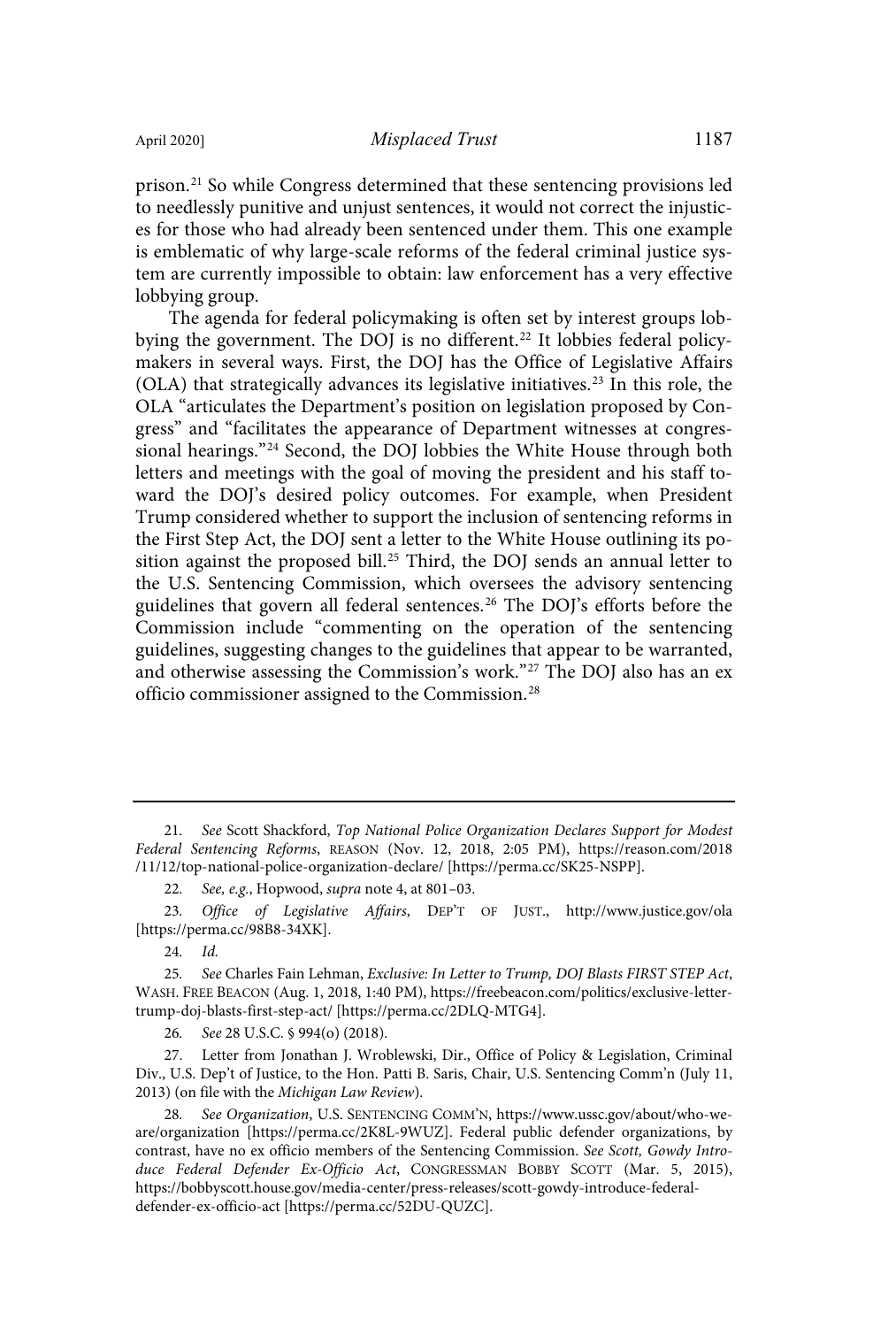prison.<sup>21</sup> So while Congress determined that these sentencing provisions led to needlessly punitive and unjust sentences, it would not correct the injustices for those who had already been sentenced under them. This one example is emblematic of why large-scale reforms of the federal criminal justice system are currently impossible to obtain: law enforcement has a very effective lobbying group.

The agenda for federal policymaking is often set by interest groups lobbying the government. The DOJ is no different. <sup>22</sup> It lobbies federal policymakers in several ways. First, the DOJ has the Office of Legislative Affairs (OLA) that strategically advances its legislative initiatives. <sup>23</sup> In this role, the OLA "articulates the Department's position on legislation proposed by Congress" and "facilitates the appearance of Department witnesses at congressional hearings."<sup>24</sup> Second, the DOJ lobbies the White House through both letters and meetings with the goal of moving the president and his staff toward the DOJ's desired policy outcomes. For example, when President Trump considered whether to support the inclusion of sentencing reforms in the First Step Act, the DOJ sent a letter to the White House outlining its position against the proposed bill.<sup>25</sup> Third, the DOJ sends an annual letter to the U.S. Sentencing Commission, which oversees the advisory sentencing guidelines that govern all federal sentences.<sup>26</sup> The DOJ's efforts before the Commission include "commenting on the operation of the sentencing guidelines, suggesting changes to the guidelines that appear to be warranted, and otherwise assessing the Commission's work."<sup>27</sup> The DOJ also has an ex officio commissioner assigned to the Commission. 28

26. See 28 U.S.C. § 994(o) (2018).

27. Letter from Jonathan J. Wroblewski, Dir., Office of Policy & Legislation, Criminal Div., U.S. Dep't of Justice, to the Hon. Patti B. Saris, Chair, U.S. Sentencing Comm'n (July 11, 2013) (on file with the Michigan Law Review).

See Organization, U.S. SENTENCING COMM'N, https://www.ussc.gov/about/who-weare/organization [https://perma.cc/2K8L-9WUZ]. Federal public defender organizations, by contrast, have no ex officio members of the Sentencing Commission. See Scott, Gowdy Introduce Federal Defender Ex-Officio Act, CONGRESSMAN BOBBY SCOTT (Mar. 5, 2015), https://bobbyscott.house.gov/media-center/press-releases/scott-gowdy-introduce-federaldefender-ex-officio-act [https://perma.cc/52DU-QUZC].

<sup>21</sup>. See Scott Shackford, Top National Police Organization Declares Support for Modest Federal Sentencing Reforms, REASON (Nov. 12, 2018, 2:05 PM), https://reason.com/2018 /11/12/top-national-police-organization-declare/ [https://perma.cc/SK25-NSPP].

<sup>22</sup>. See, e.g., Hopwood, supra note 4, at 801–03.

<sup>23</sup>. Office of Legislative Affairs, DEP'T OF JUST., http://www.justice.gov/ola [https://perma.cc/98B8-34XK].

<sup>24</sup>. Id.

<sup>25.</sup> See Charles Fain Lehman, Exclusive: In Letter to Trump, DOJ Blasts FIRST STEP Act, WASH. FREE BEACON (Aug. 1, 2018, 1:40 PM), https://freebeacon.com/politics/exclusive-lettertrump-doj-blasts-first-step-act/ [https://perma.cc/2DLQ-MTG4].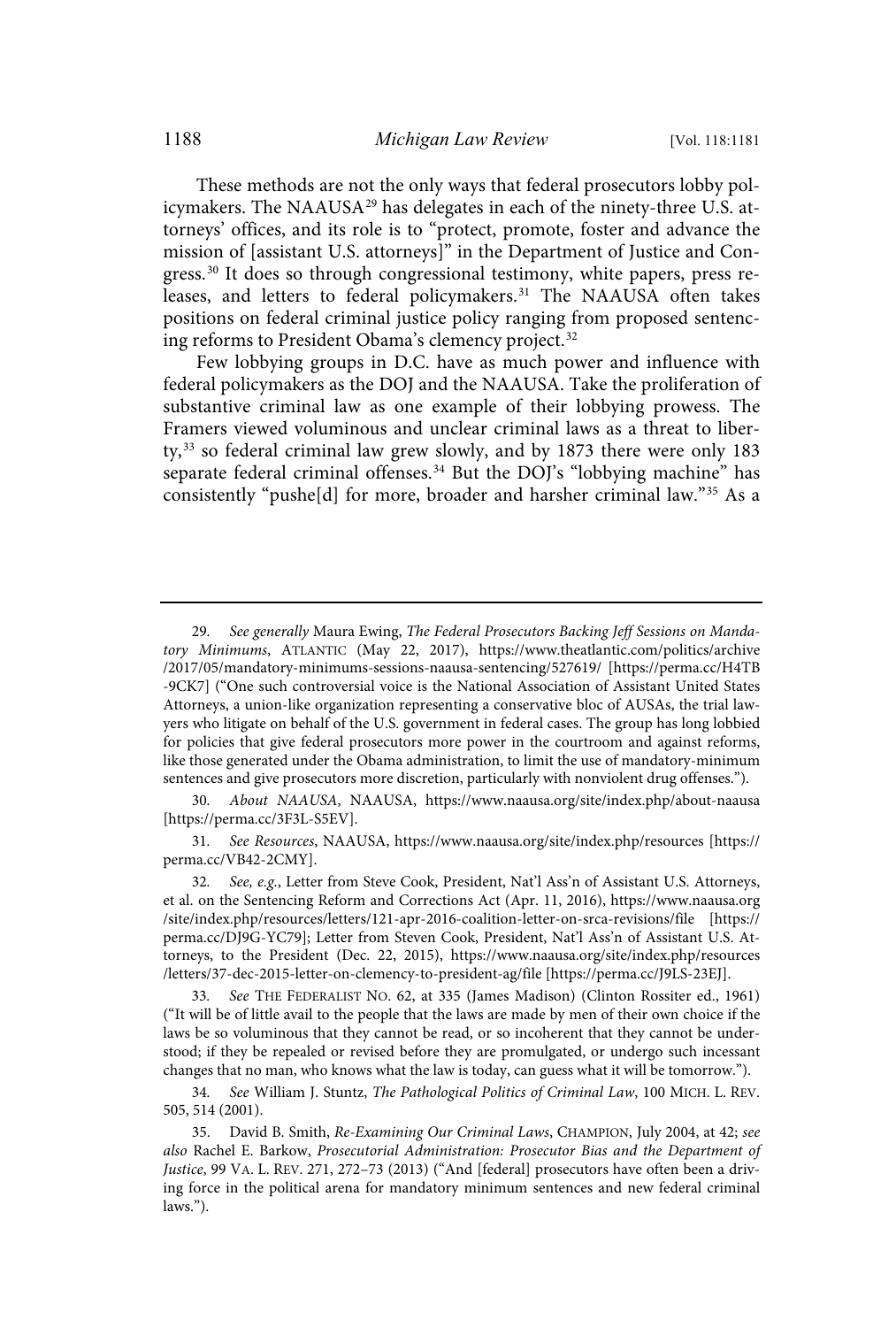These methods are not the only ways that federal prosecutors lobby policymakers. The NAAUSA<sup>29</sup> has delegates in each of the ninety-three U.S. attorneys' offices, and its role is to "protect, promote, foster and advance the mission of [assistant U.S. attorneys]" in the Department of Justice and Congress.<sup>30</sup> It does so through congressional testimony, white papers, press releases, and letters to federal policymakers.<sup>31</sup> The NAAUSA often takes positions on federal criminal justice policy ranging from proposed sentencing reforms to President Obama's clemency project.<sup>32</sup>

Few lobbying groups in D.C. have as much power and influence with federal policymakers as the DOJ and the NAAUSA. Take the proliferation of substantive criminal law as one example of their lobbying prowess. The Framers viewed voluminous and unclear criminal laws as a threat to liberty, <sup>33</sup> so federal criminal law grew slowly, and by 1873 there were only 183 separate federal criminal offenses.<sup>34</sup> But the DOJ's "lobbying machine" has consistently "pushe[d] for more, broader and harsher criminal law."<sup>35</sup> As a

30. About NAAUSA, NAAUSA, https://www.naausa.org/site/index.php/about-naausa [https://perma.cc/3F3L-S5EV].

31. See Resources, NAAUSA, https://www.naausa.org/site/index.php/resources [https:// perma.cc/VB42-2CMY].

32. See, e.g., Letter from Steve Cook, President, Nat'l Ass'n of Assistant U.S. Attorneys, et al. on the Sentencing Reform and Corrections Act (Apr. 11, 2016), https://www.naausa.org /site/index.php/resources/letters/121-apr-2016-coalition-letter-on-srca-revisions/file [https:// perma.cc/DJ9G-YC79]; Letter from Steven Cook, President, Nat'l Ass'n of Assistant U.S. Attorneys, to the President (Dec. 22, 2015), https://www.naausa.org/site/index.php/resources /letters/37-dec-2015-letter-on-clemency-to-president-ag/file [https://perma.cc/J9LS-23EJ].

33. See THE FEDERALIST NO. 62, at 335 (James Madison) (Clinton Rossiter ed., 1961) ("It will be of little avail to the people that the laws are made by men of their own choice if the laws be so voluminous that they cannot be read, or so incoherent that they cannot be understood; if they be repealed or revised before they are promulgated, or undergo such incessant changes that no man, who knows what the law is today, can guess what it will be tomorrow.").

34. See William J. Stuntz, The Pathological Politics of Criminal Law, 100 MICH. L. REV. 505, 514 (2001).

35. David B. Smith, Re-Examining Our Criminal Laws, CHAMPION, July 2004, at 42; see also Rachel E. Barkow, Prosecutorial Administration: Prosecutor Bias and the Department of Justice, 99 VA. L. REV. 271, 272–73 (2013) ("And [federal] prosecutors have often been a driving force in the political arena for mandatory minimum sentences and new federal criminal laws.").

<sup>29</sup>. See generally Maura Ewing, The Federal Prosecutors Backing Jeff Sessions on Mandatory Minimums, ATLANTIC (May 22, 2017), https://www.theatlantic.com/politics/archive /2017/05/mandatory-minimums-sessions-naausa-sentencing/527619/ [https://perma.cc/H4TB -9CK7] ("One such controversial voice is the National Association of Assistant United States Attorneys, a union-like organization representing a conservative bloc of AUSAs, the trial lawyers who litigate on behalf of the U.S. government in federal cases. The group has long lobbied for policies that give federal prosecutors more power in the courtroom and against reforms, like those generated under the Obama administration, to limit the use of mandatory-minimum sentences and give prosecutors more discretion, particularly with nonviolent drug offenses.").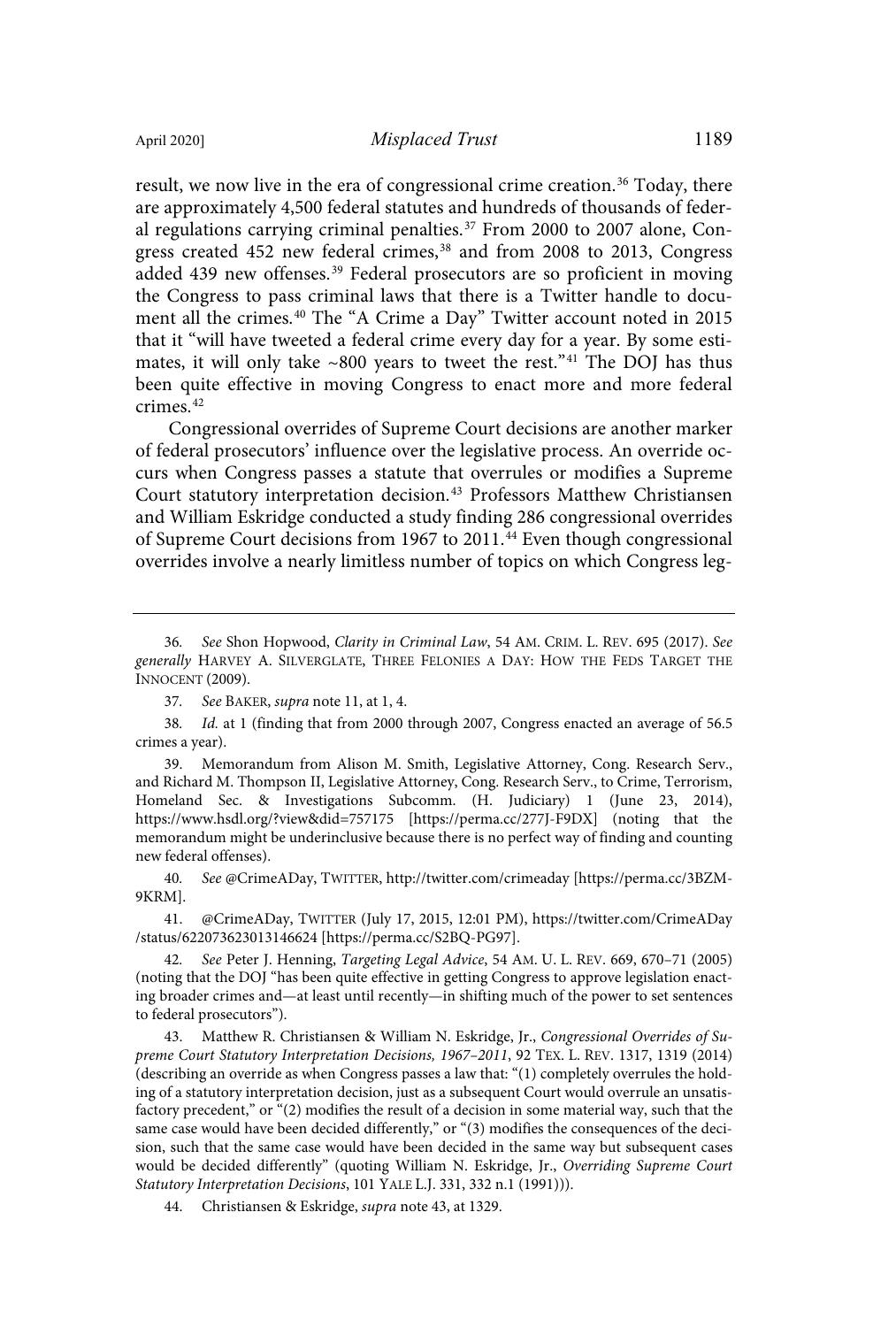result, we now live in the era of congressional crime creation.<sup>36</sup> Today, there are approximately 4,500 federal statutes and hundreds of thousands of federal regulations carrying criminal penalties.<sup>37</sup> From 2000 to 2007 alone, Congress created 452 new federal crimes,<sup>38</sup> and from 2008 to 2013, Congress added 439 new offenses.<sup>39</sup> Federal prosecutors are so proficient in moving the Congress to pass criminal laws that there is a Twitter handle to document all the crimes.<sup>40</sup> The "A Crime a Day" Twitter account noted in 2015 that it "will have tweeted a federal crime every day for a year. By some estimates, it will only take  $\sim 800$  years to tweet the rest."<sup>41</sup> The DOJ has thus been quite effective in moving Congress to enact more and more federal crimes.<sup>42</sup>

Congressional overrides of Supreme Court decisions are another marker of federal prosecutors' influence over the legislative process. An override occurs when Congress passes a statute that overrules or modifies a Supreme Court statutory interpretation decision.<sup>43</sup> Professors Matthew Christiansen and William Eskridge conducted a study finding 286 congressional overrides of Supreme Court decisions from 1967 to 2011.<sup>44</sup> Even though congressional overrides involve a nearly limitless number of topics on which Congress leg-

39. Memorandum from Alison M. Smith, Legislative Attorney, Cong. Research Serv., and Richard M. Thompson II, Legislative Attorney, Cong. Research Serv., to Crime, Terrorism, Homeland Sec. & Investigations Subcomm. (H. Judiciary) 1 (June 23, 2014), https://www.hsdl.org/?view&did=757175 [https://perma.cc/277J-F9DX] (noting that the memorandum might be underinclusive because there is no perfect way of finding and counting new federal offenses).

40. See @CrimeADay, TWITTER, http://twitter.com/crimeaday [https://perma.cc/3BZM-9KRM].

41. @CrimeADay, TWITTER (July 17, 2015, 12:01 PM), https://twitter.com/CrimeADay /status/622073623013146624 [https://perma.cc/S2BQ-PG97].

42. See Peter J. Henning, Targeting Legal Advice, 54 AM. U. L. REV. 669, 670–71 (2005) (noting that the DOJ "has been quite effective in getting Congress to approve legislation enacting broader crimes and—at least until recently—in shifting much of the power to set sentences to federal prosecutors").

43. Matthew R. Christiansen & William N. Eskridge, Jr., Congressional Overrides of Supreme Court Statutory Interpretation Decisions, 1967–2011, 92 TEX. L. REV. 1317, 1319 (2014) (describing an override as when Congress passes a law that: "(1) completely overrules the holding of a statutory interpretation decision, just as a subsequent Court would overrule an unsatisfactory precedent," or "(2) modifies the result of a decision in some material way, such that the same case would have been decided differently," or "(3) modifies the consequences of the decision, such that the same case would have been decided in the same way but subsequent cases would be decided differently" (quoting William N. Eskridge, Jr., Overriding Supreme Court Statutory Interpretation Decisions, 101 YALE L.J. 331, 332 n.1 (1991))).

44. Christiansen & Eskridge, supra note 43, at 1329.

<sup>36</sup>. See Shon Hopwood, Clarity in Criminal Law, 54 AM. CRIM. L. REV. 695 (2017). See generally HARVEY A. SILVERGLATE, THREE FELONIES A DAY: HOW THE FEDS TARGET THE INNOCENT (2009).

<sup>37</sup>. See BAKER, supra note 11, at 1, 4.

<sup>38</sup>. Id. at 1 (finding that from 2000 through 2007, Congress enacted an average of 56.5 crimes a year).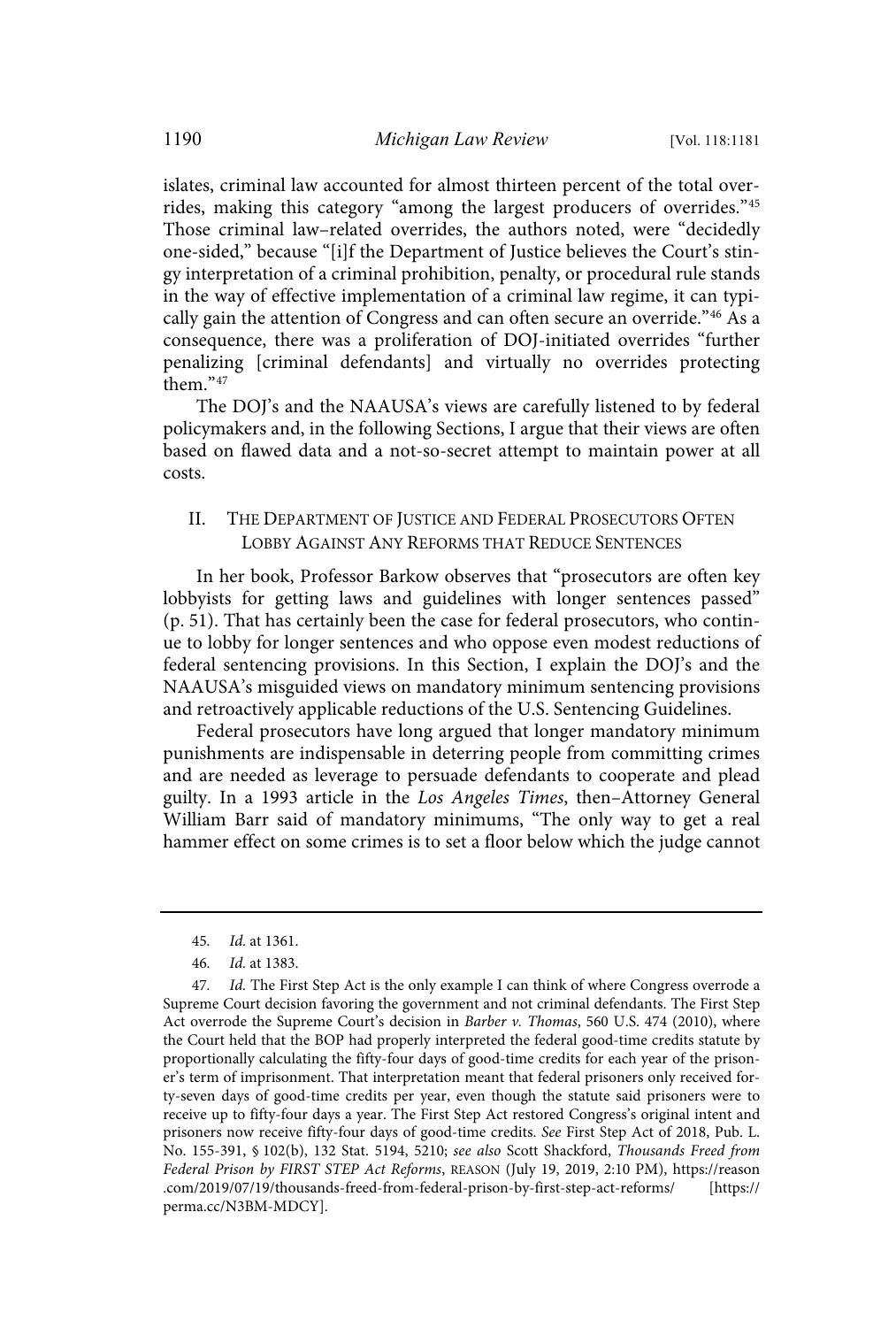islates, criminal law accounted for almost thirteen percent of the total overrides, making this category "among the largest producers of overrides."<sup>45</sup> Those criminal law–related overrides, the authors noted, were "decidedly one-sided," because "[i]f the Department of Justice believes the Court's stingy interpretation of a criminal prohibition, penalty, or procedural rule stands in the way of effective implementation of a criminal law regime, it can typically gain the attention of Congress and can often secure an override." <sup>46</sup> As a consequence, there was a proliferation of DOJ-initiated overrides "further penalizing [criminal defendants] and virtually no overrides protecting them." 47

The DOJ's and the NAAUSA's views are carefully listened to by federal policymakers and, in the following Sections, I argue that their views are often based on flawed data and a not-so-secret attempt to maintain power at all costs.

#### II. THE DEPARTMENT OF JUSTICE AND FEDERAL PROSECUTORS OFTEN LOBBY AGAINST ANY REFORMS THAT REDUCE SENTENCES

In her book, Professor Barkow observes that "prosecutors are often key lobbyists for getting laws and guidelines with longer sentences passed" (p. 51). That has certainly been the case for federal prosecutors, who continue to lobby for longer sentences and who oppose even modest reductions of federal sentencing provisions. In this Section, I explain the DOJ's and the NAAUSA's misguided views on mandatory minimum sentencing provisions and retroactively applicable reductions of the U.S. Sentencing Guidelines.

Federal prosecutors have long argued that longer mandatory minimum punishments are indispensable in deterring people from committing crimes and are needed as leverage to persuade defendants to cooperate and plead guilty. In a 1993 article in the Los Angeles Times, then–Attorney General William Barr said of mandatory minimums, "The only way to get a real hammer effect on some crimes is to set a floor below which the judge cannot

<sup>45</sup>. Id. at 1361.

<sup>46</sup>. Id. at 1383.

<sup>47.</sup> Id. The First Step Act is the only example I can think of where Congress overrode a Supreme Court decision favoring the government and not criminal defendants. The First Step Act overrode the Supreme Court's decision in Barber v. Thomas, 560 U.S. 474 (2010), where the Court held that the BOP had properly interpreted the federal good-time credits statute by proportionally calculating the fifty-four days of good-time credits for each year of the prisoner's term of imprisonment. That interpretation meant that federal prisoners only received forty-seven days of good-time credits per year, even though the statute said prisoners were to receive up to fifty-four days a year. The First Step Act restored Congress's original intent and prisoners now receive fifty-four days of good-time credits. See First Step Act of 2018, Pub. L. No. 155-391, § 102(b), 132 Stat. 5194, 5210; see also Scott Shackford, Thousands Freed from Federal Prison by FIRST STEP Act Reforms, REASON (July 19, 2019, 2:10 PM), https://reason .com/2019/07/19/thousands-freed-from-federal-prison-by-first-step-act-reforms/ [https:// perma.cc/N3BM-MDCY].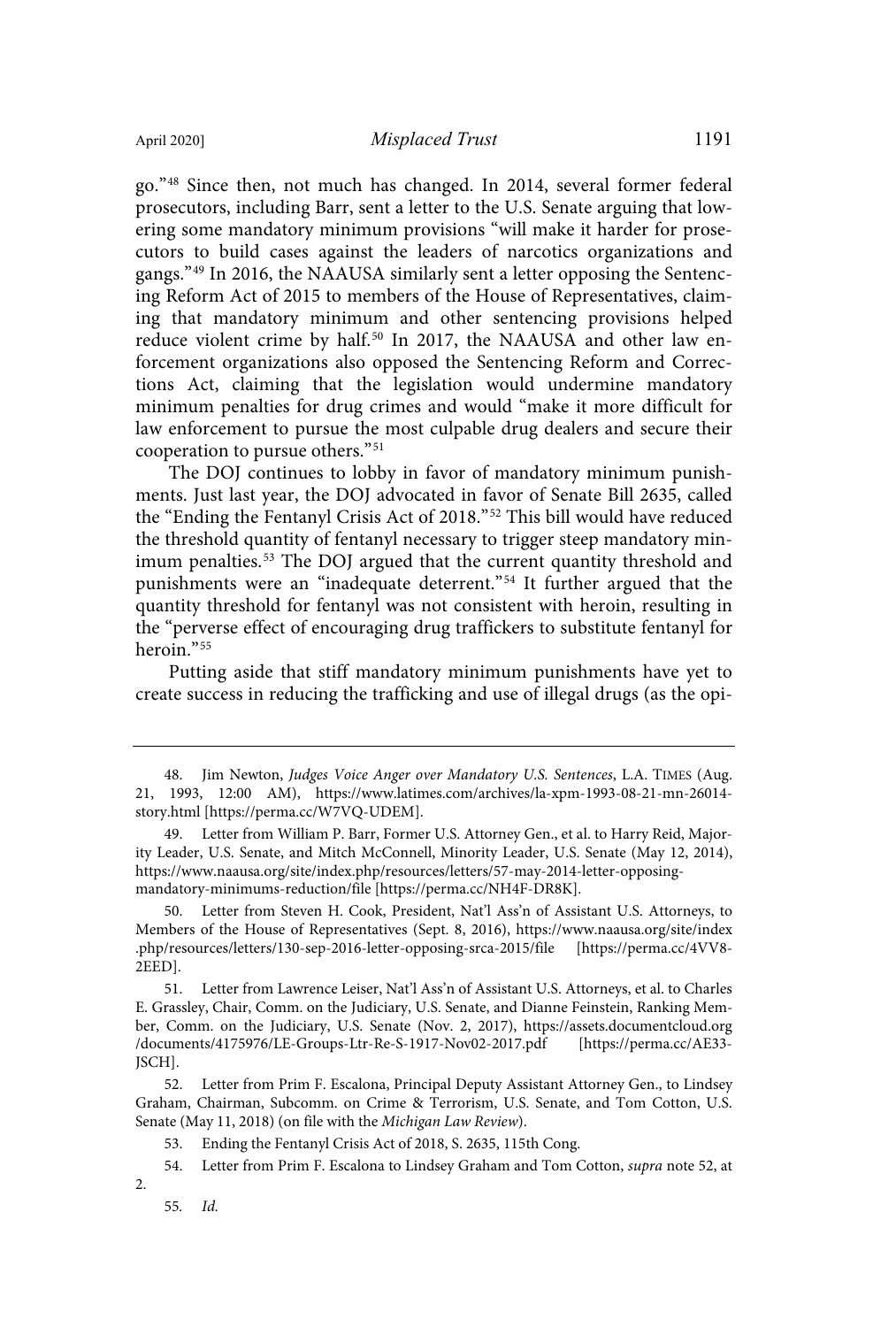go."<sup>48</sup> Since then, not much has changed. In 2014, several former federal prosecutors, including Barr, sent a letter to the U.S. Senate arguing that lowering some mandatory minimum provisions "will make it harder for prosecutors to build cases against the leaders of narcotics organizations and gangs."<sup>49</sup> In 2016, the NAAUSA similarly sent a letter opposing the Sentencing Reform Act of 2015 to members of the House of Representatives, claiming that mandatory minimum and other sentencing provisions helped reduce violent crime by half.<sup>50</sup> In 2017, the NAAUSA and other law enforcement organizations also opposed the Sentencing Reform and Corrections Act, claiming that the legislation would undermine mandatory minimum penalties for drug crimes and would "make it more difficult for law enforcement to pursue the most culpable drug dealers and secure their cooperation to pursue others."<sup>51</sup>

The DOJ continues to lobby in favor of mandatory minimum punishments. Just last year, the DOJ advocated in favor of Senate Bill 2635, called the "Ending the Fentanyl Crisis Act of 2018."<sup>52</sup> This bill would have reduced the threshold quantity of fentanyl necessary to trigger steep mandatory minimum penalties.<sup>53</sup> The DOJ argued that the current quantity threshold and punishments were an "inadequate deterrent." <sup>54</sup> It further argued that the quantity threshold for fentanyl was not consistent with heroin, resulting in the "perverse effect of encouraging drug traffickers to substitute fentanyl for heroin." 55

Putting aside that stiff mandatory minimum punishments have yet to create success in reducing the trafficking and use of illegal drugs (as the opi-

Letter from Steven H. Cook, President, Nat'l Ass'n of Assistant U.S. Attorneys, to Members of the House of Representatives (Sept. 8, 2016), https://www.naausa.org/site/index .php/resources/letters/130-sep-2016-letter-opposing-srca-2015/file [https://perma.cc/4VV8- 2EED].

51. Letter from Lawrence Leiser, Nat'l Ass'n of Assistant U.S. Attorneys, et al. to Charles E. Grassley, Chair, Comm. on the Judiciary, U.S. Senate, and Dianne Feinstein, Ranking Member, Comm. on the Judiciary, U.S. Senate (Nov. 2, 2017), https://assets.documentcloud.org /documents/4175976/LE-Groups-Ltr-Re-S-1917-Nov02-2017.pdf [https://perma.cc/AE33- JSCH].

52. Letter from Prim F. Escalona, Principal Deputy Assistant Attorney Gen., to Lindsey Graham, Chairman, Subcomm. on Crime & Terrorism, U.S. Senate, and Tom Cotton, U.S. Senate (May 11, 2018) (on file with the Michigan Law Review).

53. Ending the Fentanyl Crisis Act of 2018, S. 2635, 115th Cong.

54. Letter from Prim F. Escalona to Lindsey Graham and Tom Cotton, supra note 52, at 2.

55. Id.

<sup>48.</sup> Jim Newton, Judges Voice Anger over Mandatory U.S. Sentences, L.A. TIMES (Aug. 21, 1993, 12:00 AM), https://www.latimes.com/archives/la-xpm-1993-08-21-mn-26014 story.html [https://perma.cc/W7VQ-UDEM].

<sup>49.</sup> Letter from William P. Barr, Former U.S. Attorney Gen., et al. to Harry Reid, Majority Leader, U.S. Senate, and Mitch McConnell, Minority Leader, U.S. Senate (May 12, 2014), https://www.naausa.org/site/index.php/resources/letters/57-may-2014-letter-opposingmandatory-minimums-reduction/file [https://perma.cc/NH4F-DR8K].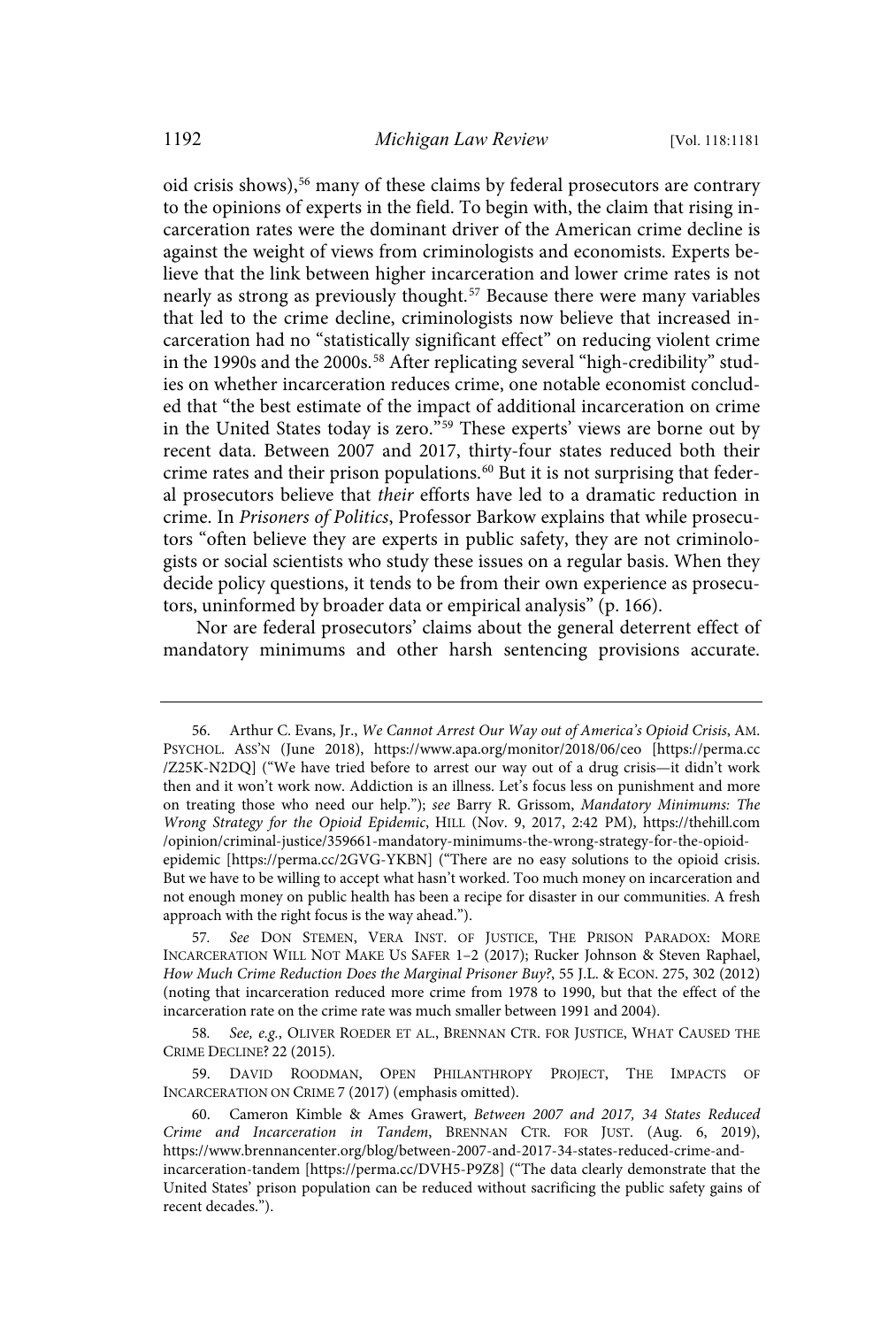oid crisis shows), <sup>56</sup> many of these claims by federal prosecutors are contrary to the opinions of experts in the field. To begin with, the claim that rising incarceration rates were the dominant driver of the American crime decline is against the weight of views from criminologists and economists. Experts believe that the link between higher incarceration and lower crime rates is not nearly as strong as previously thought.<sup>57</sup> Because there were many variables that led to the crime decline, criminologists now believe that increased incarceration had no "statistically significant effect" on reducing violent crime in the 1990s and the 2000s. <sup>58</sup> After replicating several "high-credibility" studies on whether incarceration reduces crime, one notable economist concluded that "the best estimate of the impact of additional incarceration on crime in the United States today is zero."<sup>59</sup> These experts' views are borne out by recent data. Between 2007 and 2017, thirty-four states reduced both their crime rates and their prison populations.<sup>60</sup> But it is not surprising that federal prosecutors believe that their efforts have led to a dramatic reduction in crime. In Prisoners of Politics, Professor Barkow explains that while prosecutors "often believe they are experts in public safety, they are not criminologists or social scientists who study these issues on a regular basis. When they decide policy questions, it tends to be from their own experience as prosecutors, uninformed by broader data or empirical analysis" (p. 166).

Nor are federal prosecutors' claims about the general deterrent effect of mandatory minimums and other harsh sentencing provisions accurate.

58. See, e.g., OLIVER ROEDER ET AL., BRENNAN CTR. FOR JUSTICE, WHAT CAUSED THE CRIME DECLINE? 22 (2015).

59. DAVID ROODMAN, OPEN PHILANTHROPY PROJECT, THE IMPACTS OF INCARCERATION ON CRIME 7 (2017) (emphasis omitted).

<sup>56.</sup> Arthur C. Evans, Jr., We Cannot Arrest Our Way out of America's Opioid Crisis, AM. PSYCHOL. ASS'N (June 2018), https://www.apa.org/monitor/2018/06/ceo [https://perma.cc /Z25K-N2DQ] ("We have tried before to arrest our way out of a drug crisis—it didn't work then and it won't work now. Addiction is an illness. Let's focus less on punishment and more on treating those who need our help."); see Barry R. Grissom, Mandatory Minimums: The Wrong Strategy for the Opioid Epidemic, HILL (Nov. 9, 2017, 2:42 PM), https://thehill.com /opinion/criminal-justice/359661-mandatory-minimums-the-wrong-strategy-for-the-opioidepidemic [https://perma.cc/2GVG-YKBN] ("There are no easy solutions to the opioid crisis. But we have to be willing to accept what hasn't worked. Too much money on incarceration and not enough money on public health has been a recipe for disaster in our communities. A fresh approach with the right focus is the way ahead.").

<sup>57</sup>. See DON STEMEN, VERA INST. OF JUSTICE, THE PRISON PARADOX: MORE INCARCERATION WILL NOT MAKE US SAFER 1–2 (2017); Rucker Johnson & Steven Raphael, How Much Crime Reduction Does the Marginal Prisoner Buy?, 55 J.L. & ECON. 275, 302 (2012) (noting that incarceration reduced more crime from 1978 to 1990, but that the effect of the incarceration rate on the crime rate was much smaller between 1991 and 2004).

<sup>60.</sup> Cameron Kimble & Ames Grawert, Between 2007 and 2017, 34 States Reduced Crime and Incarceration in Tandem, BRENNAN CTR. FOR JUST. (Aug. 6, 2019), https://www.brennancenter.org/blog/between-2007-and-2017-34-states-reduced-crime-andincarceration-tandem [https://perma.cc/DVH5-P9Z8] ("The data clearly demonstrate that the United States' prison population can be reduced without sacrificing the public safety gains of recent decades.").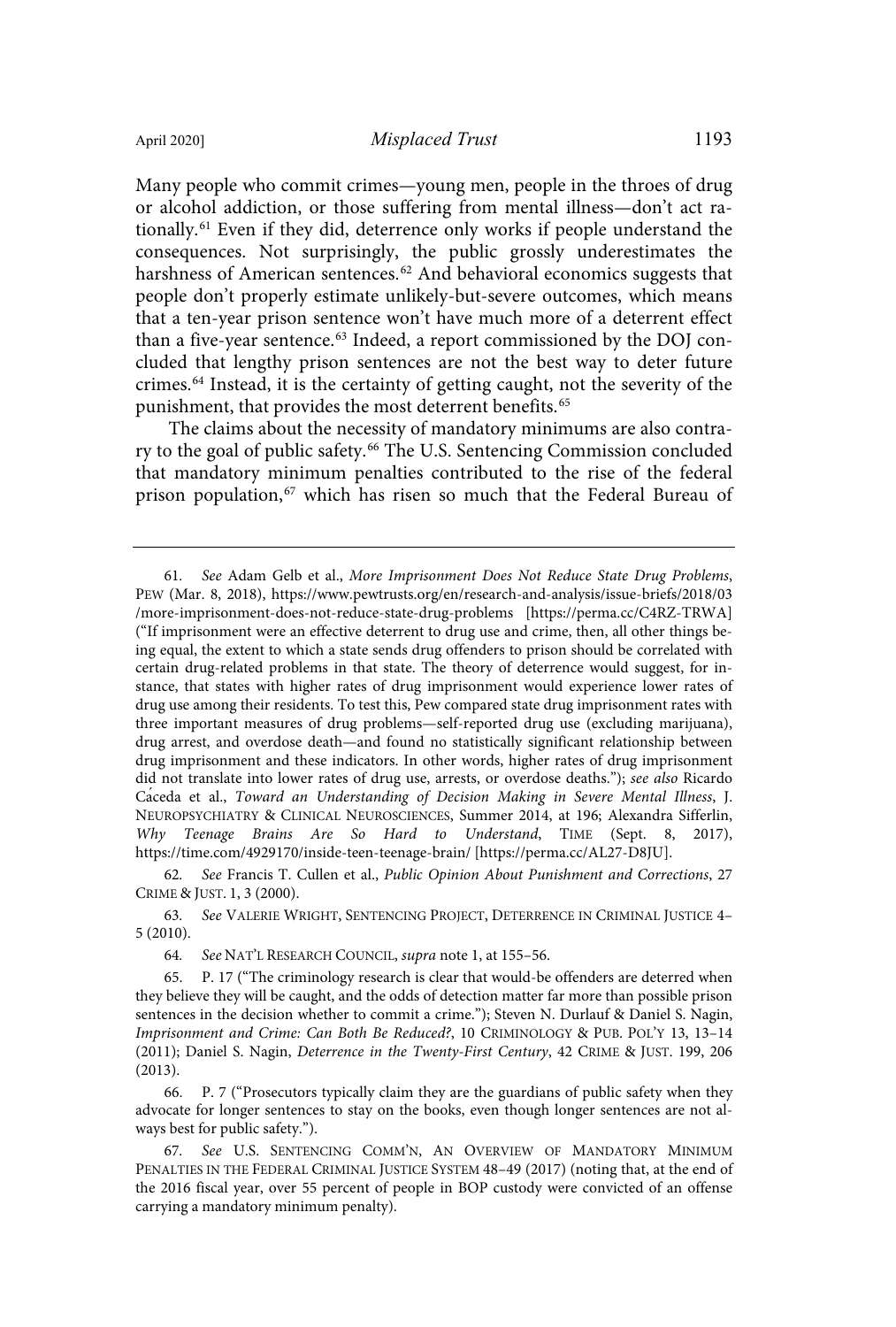Many people who commit crimes—young men, people in the throes of drug or alcohol addiction, or those suffering from mental illness—don't act rationally.<sup>61</sup> Even if they did, deterrence only works if people understand the consequences. Not surprisingly, the public grossly underestimates the harshness of American sentences.<sup>62</sup> And behavioral economics suggests that people don't properly estimate unlikely-but-severe outcomes, which means that a ten-year prison sentence won't have much more of a deterrent effect than a five-year sentence. <sup>63</sup> Indeed, a report commissioned by the DOJ concluded that lengthy prison sentences are not the best way to deter future crimes.<sup>64</sup> Instead, it is the certainty of getting caught, not the severity of the

The claims about the necessity of mandatory minimums are also contrary to the goal of public safety.<sup>66</sup> The U.S. Sentencing Commission concluded that mandatory minimum penalties contributed to the rise of the federal prison population, <sup>67</sup> which has risen so much that the Federal Bureau of

punishment, that provides the most deterrent benefits.<sup>65</sup>

62. See Francis T. Cullen et al., Public Opinion About Punishment and Corrections, 27 CRIME & JUST. 1, 3 (2000).

63. See VALERIE WRIGHT, SENTENCING PROJECT, DETERRENCE IN CRIMINAL JUSTICE 4– 5 (2010).

64. See NAT'L RESEARCH COUNCIL, supra note 1, at 155–56.

65. P. 17 ("The criminology research is clear that would-be offenders are deterred when they believe they will be caught, and the odds of detection matter far more than possible prison sentences in the decision whether to commit a crime."); Steven N. Durlauf & Daniel S. Nagin, Imprisonment and Crime: Can Both Be Reduced?, 10 CRIMINOLOGY & PUB. POL'Y 13, 13–14 (2011); Daniel S. Nagin, Deterrence in the Twenty-First Century, 42 CRIME & JUST. 199, 206 (2013).

66. P. 7 ("Prosecutors typically claim they are the guardians of public safety when they advocate for longer sentences to stay on the books, even though longer sentences are not always best for public safety.").

67. See U.S. SENTENCING COMM'N, AN OVERVIEW OF MANDATORY MINIMUM PENALTIES IN THE FEDERAL CRIMINAL JUSTICE SYSTEM 48–49 (2017) (noting that, at the end of the 2016 fiscal year, over 55 percent of people in BOP custody were convicted of an offense carrying a mandatory minimum penalty).

<sup>61</sup>. See Adam Gelb et al., More Imprisonment Does Not Reduce State Drug Problems, PEW (Mar. 8, 2018), https://www.pewtrusts.org/en/research-and-analysis/issue-briefs/2018/03 /more-imprisonment-does-not-reduce-state-drug-problems [https://perma.cc/C4RZ-TRWA] ("If imprisonment were an effective deterrent to drug use and crime, then, all other things being equal, the extent to which a state sends drug offenders to prison should be correlated with certain drug-related problems in that state. The theory of deterrence would suggest, for instance, that states with higher rates of drug imprisonment would experience lower rates of drug use among their residents. To test this, Pew compared state drug imprisonment rates with three important measures of drug problems—self-reported drug use (excluding marijuana), drug arrest, and overdose death—and found no statistically significant relationship between drug imprisonment and these indicators. In other words, higher rates of drug imprisonment did not translate into lower rates of drug use, arrests, or overdose deaths."); see also Ricardo Caceda et al., Toward an Understanding of Decision Making in Severe Mental Illness, J. NEUROPSYCHIATRY & CLINICAL NEUROSCIENCES, Summer 2014, at 196; Alexandra Sifferlin, Why Teenage Brains Are So Hard to Understand, TIME (Sept. 8, 2017), https://time.com/4929170/inside-teen-teenage-brain/ [https://perma.cc/AL27-D8JU].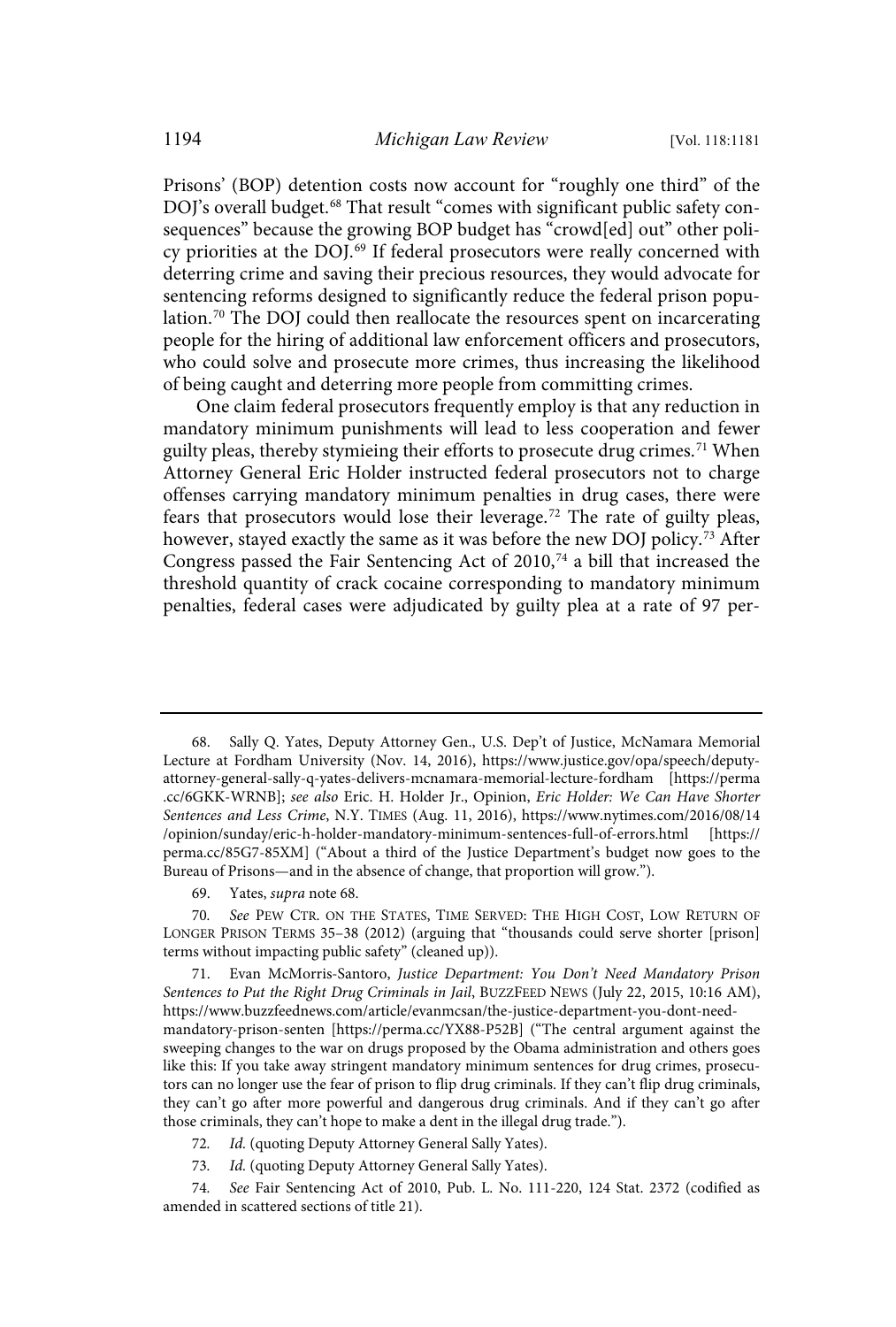Prisons' (BOP) detention costs now account for "roughly one third" of the DOJ's overall budget.<sup>68</sup> That result "comes with significant public safety consequences" because the growing BOP budget has "crowd[ed] out" other policy priorities at the DOJ. <sup>69</sup> If federal prosecutors were really concerned with deterring crime and saving their precious resources, they would advocate for sentencing reforms designed to significantly reduce the federal prison population. <sup>70</sup> The DOJ could then reallocate the resources spent on incarcerating people for the hiring of additional law enforcement officers and prosecutors, who could solve and prosecute more crimes, thus increasing the likelihood of being caught and deterring more people from committing crimes.

One claim federal prosecutors frequently employ is that any reduction in mandatory minimum punishments will lead to less cooperation and fewer guilty pleas, thereby stymieing their efforts to prosecute drug crimes.<sup>71</sup> When Attorney General Eric Holder instructed federal prosecutors not to charge offenses carrying mandatory minimum penalties in drug cases, there were fears that prosecutors would lose their leverage. <sup>72</sup> The rate of guilty pleas, however, stayed exactly the same as it was before the new DOJ policy. <sup>73</sup> After Congress passed the Fair Sentencing Act of 2010,<sup>74</sup> a bill that increased the threshold quantity of crack cocaine corresponding to mandatory minimum penalties, federal cases were adjudicated by guilty plea at a rate of 97 per-

69. Yates, supra note 68.

71. Evan McMorris-Santoro, Justice Department: You Don't Need Mandatory Prison Sentences to Put the Right Drug Criminals in Jail, BUZZFEED NEWS (July 22, 2015, 10:16 AM), https://www.buzzfeednews.com/article/evanmcsan/the-justice-department-you-dont-needmandatory-prison-senten [https://perma.cc/YX88-P52B] ("The central argument against the sweeping changes to the war on drugs proposed by the Obama administration and others goes like this: If you take away stringent mandatory minimum sentences for drug crimes, prosecutors can no longer use the fear of prison to flip drug criminals. If they can't flip drug criminals, they can't go after more powerful and dangerous drug criminals. And if they can't go after those criminals, they can't hope to make a dent in the illegal drug trade.").

72. Id. (quoting Deputy Attorney General Sally Yates).

73. Id. (quoting Deputy Attorney General Sally Yates).

74. See Fair Sentencing Act of 2010, Pub. L. No. 111-220, 124 Stat. 2372 (codified as amended in scattered sections of title 21).

<sup>68.</sup> Sally Q. Yates, Deputy Attorney Gen., U.S. Dep't of Justice, McNamara Memorial Lecture at Fordham University (Nov. 14, 2016), https://www.justice.gov/opa/speech/deputyattorney-general-sally-q-yates-delivers-mcnamara-memorial-lecture-fordham [https://perma .cc/6GKK-WRNB]; see also Eric. H. Holder Jr., Opinion, Eric Holder: We Can Have Shorter Sentences and Less Crime, N.Y. TIMES (Aug. 11, 2016), https://www.nytimes.com/2016/08/14 /opinion/sunday/eric-h-holder-mandatory-minimum-sentences-full-of-errors.html [https:// perma.cc/85G7-85XM] ("About a third of the Justice Department's budget now goes to the Bureau of Prisons—and in the absence of change, that proportion will grow.").

<sup>70</sup>. See PEW CTR. ON THE STATES, TIME SERVED: THE HIGH COST, LOW RETURN OF LONGER PRISON TERMS 35–38 (2012) (arguing that "thousands could serve shorter [prison] terms without impacting public safety" (cleaned up)).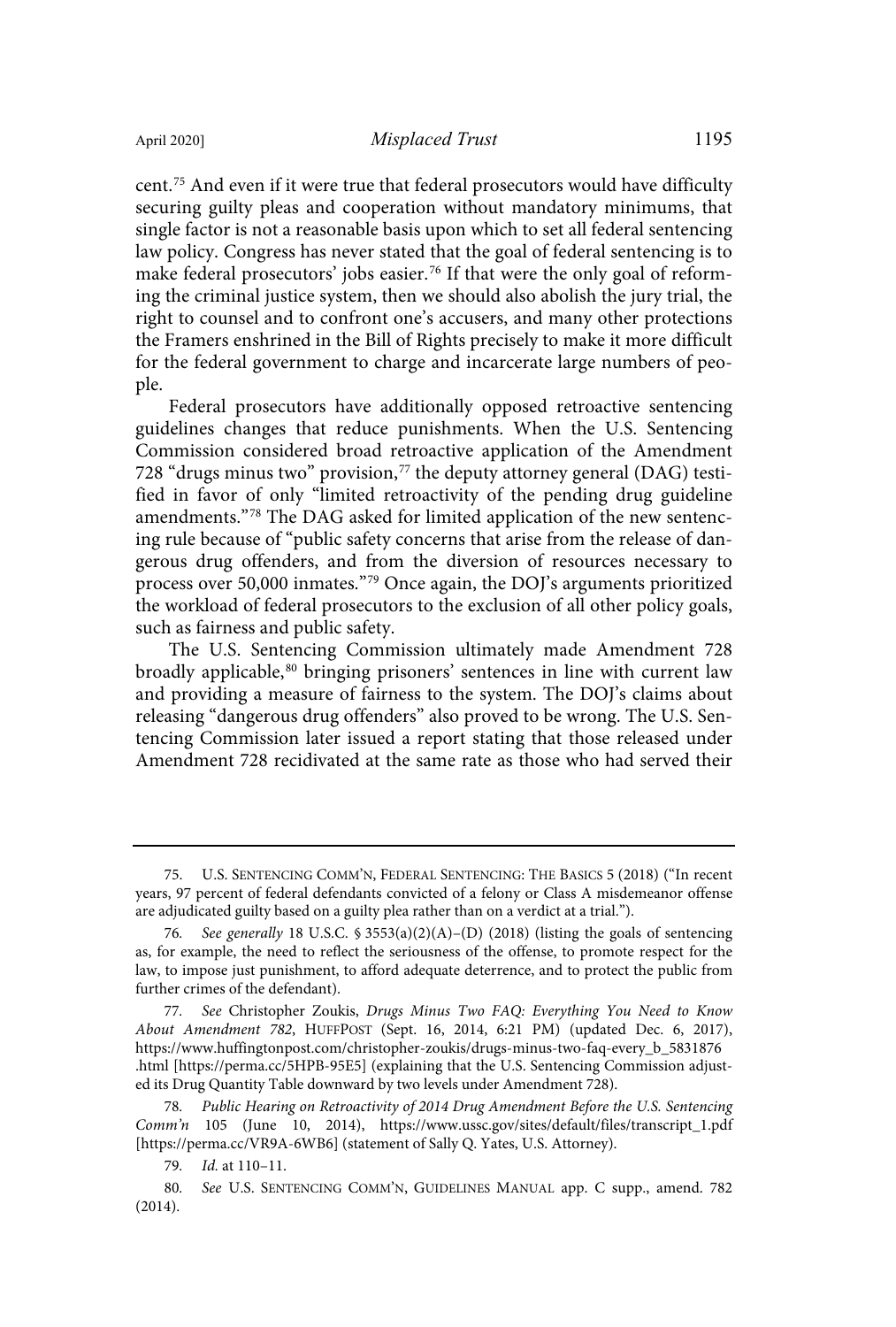cent. <sup>75</sup> And even if it were true that federal prosecutors would have difficulty securing guilty pleas and cooperation without mandatory minimums, that single factor is not a reasonable basis upon which to set all federal sentencing law policy. Congress has never stated that the goal of federal sentencing is to make federal prosecutors' jobs easier. <sup>76</sup> If that were the only goal of reforming the criminal justice system, then we should also abolish the jury trial, the right to counsel and to confront one's accusers, and many other protections the Framers enshrined in the Bill of Rights precisely to make it more difficult for the federal government to charge and incarcerate large numbers of people.

Federal prosecutors have additionally opposed retroactive sentencing guidelines changes that reduce punishments. When the U.S. Sentencing Commission considered broad retroactive application of the Amendment 728 "drugs minus two" provision, $77$  the deputy attorney general (DAG) testified in favor of only "limited retroactivity of the pending drug guideline amendments."<sup>78</sup> The DAG asked for limited application of the new sentencing rule because of "public safety concerns that arise from the release of dangerous drug offenders, and from the diversion of resources necessary to process over 50,000 inmates." <sup>79</sup> Once again, the DOJ's arguments prioritized the workload of federal prosecutors to the exclusion of all other policy goals, such as fairness and public safety.

The U.S. Sentencing Commission ultimately made Amendment 728 broadly applicable,<sup>80</sup> bringing prisoners' sentences in line with current law and providing a measure of fairness to the system. The DOJ's claims about releasing "dangerous drug offenders" also proved to be wrong. The U.S. Sentencing Commission later issued a report stating that those released under Amendment 728 recidivated at the same rate as those who had served their

<sup>75.</sup> U.S. SENTENCING COMM'N, FEDERAL SENTENCING: THE BASICS 5 (2018) ("In recent years, 97 percent of federal defendants convicted of a felony or Class A misdemeanor offense are adjudicated guilty based on a guilty plea rather than on a verdict at a trial.").

<sup>76.</sup> See generally 18 U.S.C.  $\frac{1}{2}$  3553(a)(2)(A)–(D) (2018) (listing the goals of sentencing as, for example, the need to reflect the seriousness of the offense, to promote respect for the law, to impose just punishment, to afford adequate deterrence, and to protect the public from further crimes of the defendant).

<sup>77</sup>. See Christopher Zoukis, Drugs Minus Two FAQ: Everything You Need to Know About Amendment 782, HUFFPOST (Sept. 16, 2014, 6:21 PM) (updated Dec. 6, 2017), https://www.huffingtonpost.com/christopher-zoukis/drugs-minus-two-faq-every\_b\_5831876 .html [https://perma.cc/5HPB-95E5] (explaining that the U.S. Sentencing Commission adjusted its Drug Quantity Table downward by two levels under Amendment 728).

<sup>78</sup>. Public Hearing on Retroactivity of 2014 Drug Amendment Before the U.S. Sentencing Comm'n 105 (June 10, 2014), https://www.ussc.gov/sites/default/files/transcript\_1.pdf [https://perma.cc/VR9A-6WB6] (statement of Sally Q. Yates, U.S. Attorney).

<sup>79</sup>. Id. at 110–11.

<sup>80</sup>. See U.S. SENTENCING COMM'N, GUIDELINES MANUAL app. C supp., amend. 782 (2014).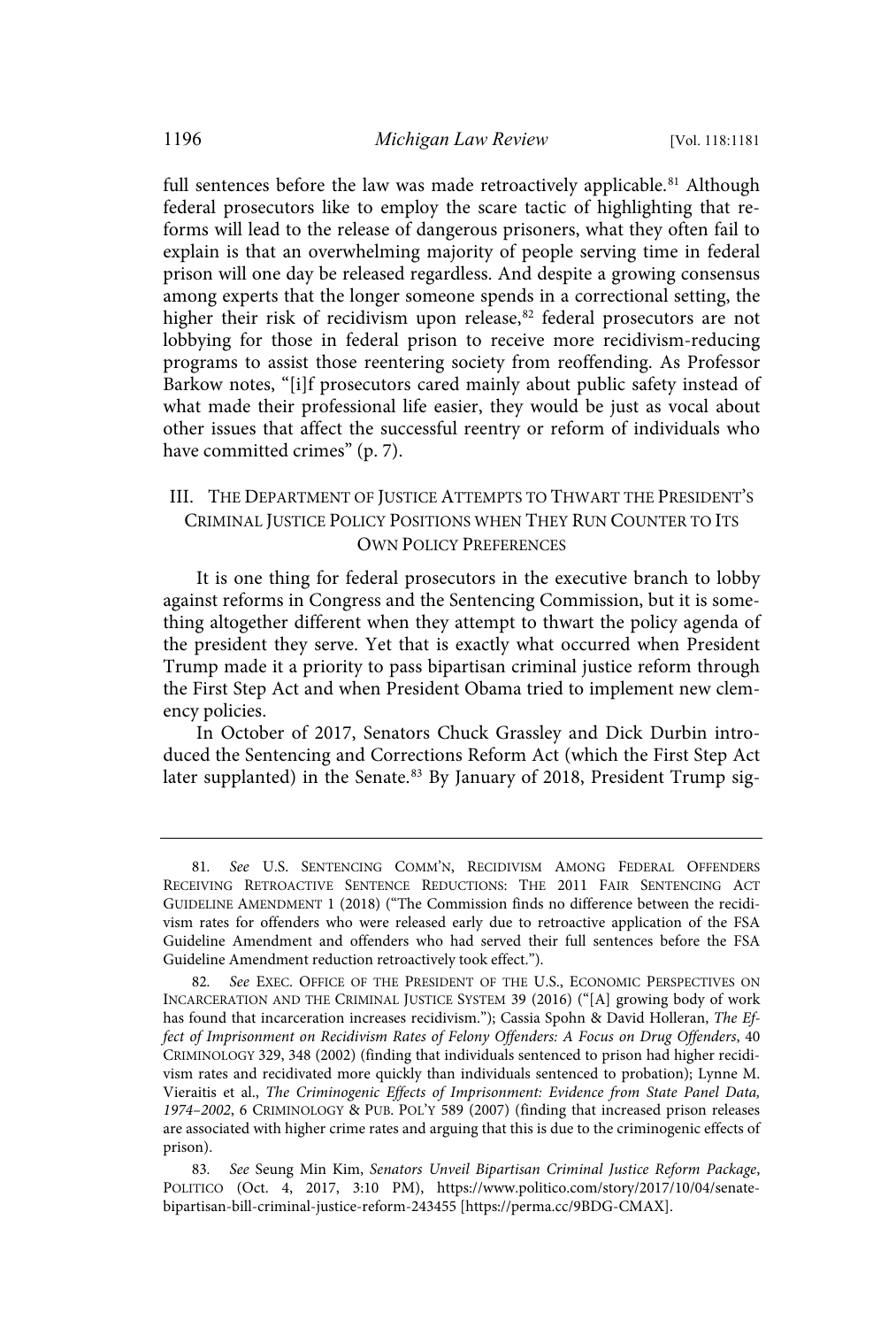full sentences before the law was made retroactively applicable.<sup>81</sup> Although federal prosecutors like to employ the scare tactic of highlighting that reforms will lead to the release of dangerous prisoners, what they often fail to explain is that an overwhelming majority of people serving time in federal prison will one day be released regardless. And despite a growing consensus among experts that the longer someone spends in a correctional setting, the higher their risk of recidivism upon release,<sup>82</sup> federal prosecutors are not lobbying for those in federal prison to receive more recidivism-reducing programs to assist those reentering society from reoffending. As Professor Barkow notes, "[i]f prosecutors cared mainly about public safety instead of what made their professional life easier, they would be just as vocal about other issues that affect the successful reentry or reform of individuals who have committed crimes" (p. 7).

## III. THE DEPARTMENT OF JUSTICE ATTEMPTS TO THWART THE PRESIDENT'S CRIMINAL JUSTICE POLICY POSITIONS WHEN THEY RUN COUNTER TO ITS OWN POLICY PREFERENCES

It is one thing for federal prosecutors in the executive branch to lobby against reforms in Congress and the Sentencing Commission, but it is something altogether different when they attempt to thwart the policy agenda of the president they serve. Yet that is exactly what occurred when President Trump made it a priority to pass bipartisan criminal justice reform through the First Step Act and when President Obama tried to implement new clemency policies.

In October of 2017, Senators Chuck Grassley and Dick Durbin introduced the Sentencing and Corrections Reform Act (which the First Step Act later supplanted) in the Senate.<sup>83</sup> By January of 2018, President Trump sig-

<sup>81</sup>. See U.S. SENTENCING COMM'N, RECIDIVISM AMONG FEDERAL OFFENDERS RECEIVING RETROACTIVE SENTENCE REDUCTIONS: THE 2011 FAIR SENTENCING ACT GUIDELINE AMENDMENT 1 (2018) ("The Commission finds no difference between the recidivism rates for offenders who were released early due to retroactive application of the FSA Guideline Amendment and offenders who had served their full sentences before the FSA Guideline Amendment reduction retroactively took effect.").

<sup>82</sup>. See EXEC. OFFICE OF THE PRESIDENT OF THE U.S., ECONOMIC PERSPECTIVES ON INCARCERATION AND THE CRIMINAL JUSTICE SYSTEM 39 (2016) ("[A] growing body of work has found that incarceration increases recidivism."); Cassia Spohn & David Holleran, The Effect of Imprisonment on Recidivism Rates of Felony Offenders: A Focus on Drug Offenders, 40 CRIMINOLOGY 329, 348 (2002) (finding that individuals sentenced to prison had higher recidivism rates and recidivated more quickly than individuals sentenced to probation); Lynne M. Vieraitis et al., The Criminogenic Effects of Imprisonment: Evidence from State Panel Data, 1974–2002, 6 CRIMINOLOGY & PUB. POL'Y 589 (2007) (finding that increased prison releases are associated with higher crime rates and arguing that this is due to the criminogenic effects of prison).

<sup>83</sup>. See Seung Min Kim, Senators Unveil Bipartisan Criminal Justice Reform Package, POLITICO (Oct. 4, 2017, 3:10 PM), https://www.politico.com/story/2017/10/04/senatebipartisan-bill-criminal-justice-reform-243455 [https://perma.cc/9BDG-CMAX].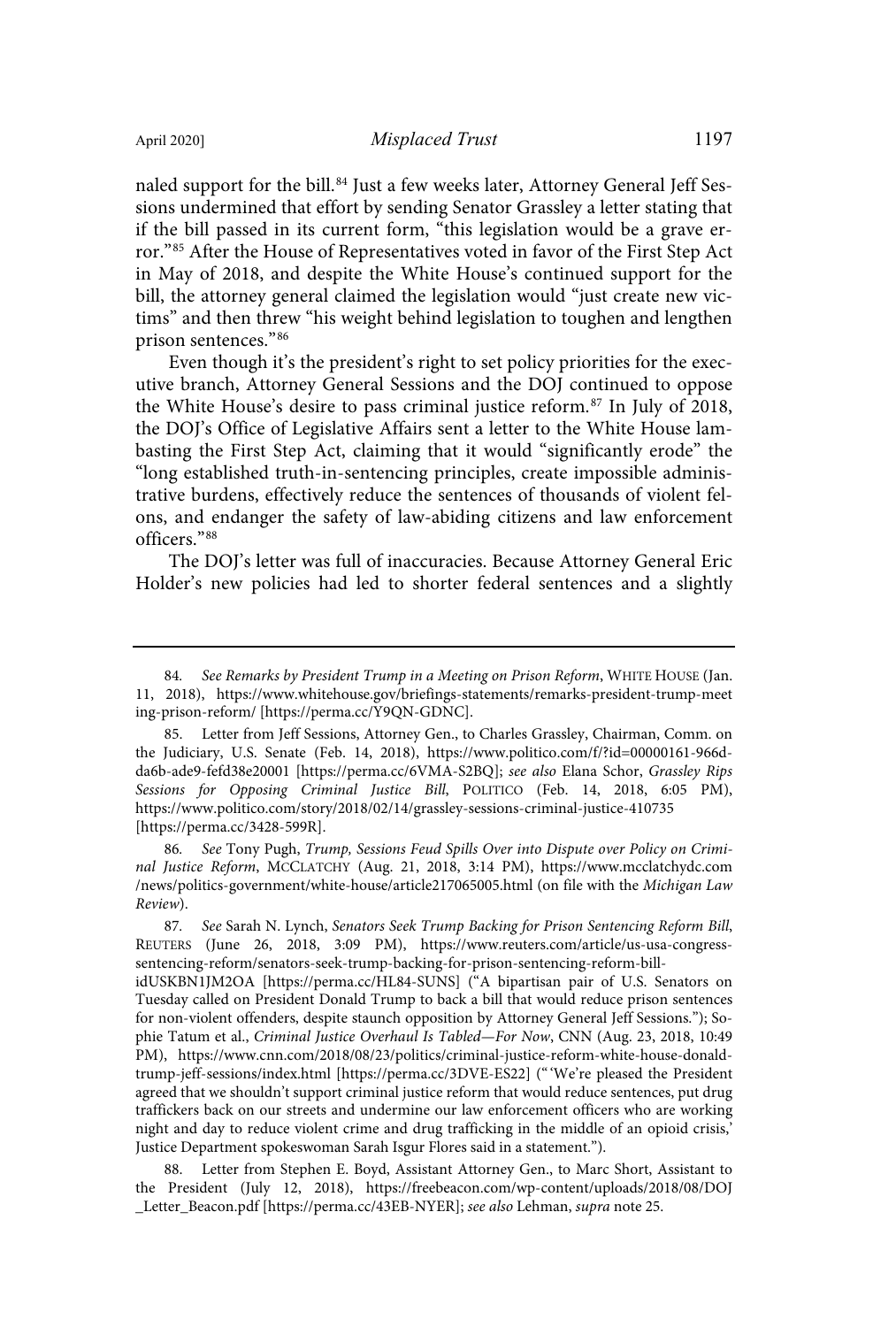naled support for the bill.<sup>84</sup> Just a few weeks later, Attorney General Jeff Sessions undermined that effort by sending Senator Grassley a letter stating that if the bill passed in its current form, "this legislation would be a grave error."<sup>85</sup> After the House of Representatives voted in favor of the First Step Act in May of 2018, and despite the White House's continued support for the bill, the attorney general claimed the legislation would "just create new victims" and then threw "his weight behind legislation to toughen and lengthen prison sentences."<sup>86</sup>

Even though it's the president's right to set policy priorities for the executive branch, Attorney General Sessions and the DOJ continued to oppose the White House's desire to pass criminal justice reform. <sup>87</sup> In July of 2018, the DOJ's Office of Legislative Affairs sent a letter to the White House lambasting the First Step Act, claiming that it would "significantly erode" the "long established truth-in-sentencing principles, create impossible administrative burdens, effectively reduce the sentences of thousands of violent felons, and endanger the safety of law-abiding citizens and law enforcement officers."<sup>88</sup>

The DOJ's letter was full of inaccuracies. Because Attorney General Eric Holder's new policies had led to shorter federal sentences and a slightly

86. See Tony Pugh, Trump, Sessions Feud Spills Over into Dispute over Policy on Criminal Justice Reform, MCCLATCHY (Aug. 21, 2018, 3:14 PM), https://www.mcclatchydc.com /news/politics-government/white-house/article217065005.html (on file with the Michigan Law Review).

87. See Sarah N. Lynch, Senators Seek Trump Backing for Prison Sentencing Reform Bill, REUTERS (June 26, 2018, 3:09 PM), https://www.reuters.com/article/us-usa-congresssentencing-reform/senators-seek-trump-backing-for-prison-sentencing-reform-bill-

idUSKBN1JM2OA [https://perma.cc/HL84-SUNS] ("A bipartisan pair of U.S. Senators on Tuesday called on President Donald Trump to back a bill that would reduce prison sentences for non-violent offenders, despite staunch opposition by Attorney General Jeff Sessions."); Sophie Tatum et al., Criminal Justice Overhaul Is Tabled—For Now, CNN (Aug. 23, 2018, 10:49 PM), https://www.cnn.com/2018/08/23/politics/criminal-justice-reform-white-house-donaldtrump-jeff-sessions/index.html [https://perma.cc/3DVE-ES22] ("'We're pleased the President agreed that we shouldn't support criminal justice reform that would reduce sentences, put drug traffickers back on our streets and undermine our law enforcement officers who are working night and day to reduce violent crime and drug trafficking in the middle of an opioid crisis,' Justice Department spokeswoman Sarah Isgur Flores said in a statement.").

88. Letter from Stephen E. Boyd, Assistant Attorney Gen., to Marc Short, Assistant to the President (July 12, 2018), https://freebeacon.com/wp-content/uploads/2018/08/DOJ \_Letter\_Beacon.pdf [https://perma.cc/43EB-NYER]; see also Lehman, supra note 25.

<sup>84</sup>. See Remarks by President Trump in a Meeting on Prison Reform, WHITE HOUSE (Jan. 11, 2018), https://www.whitehouse.gov/briefings-statements/remarks-president-trump-meet ing-prison-reform/ [https://perma.cc/Y9QN-GDNC].

<sup>85.</sup> Letter from Jeff Sessions, Attorney Gen., to Charles Grassley, Chairman, Comm. on the Judiciary, U.S. Senate (Feb. 14, 2018), https://www.politico.com/f/?id=00000161-966dda6b-ade9-fefd38e20001 [https://perma.cc/6VMA-S2BQ]; see also Elana Schor, Grassley Rips Sessions for Opposing Criminal Justice Bill, POLITICO (Feb. 14, 2018, 6:05 PM), https://www.politico.com/story/2018/02/14/grassley-sessions-criminal-justice-410735 [https://perma.cc/3428-599R].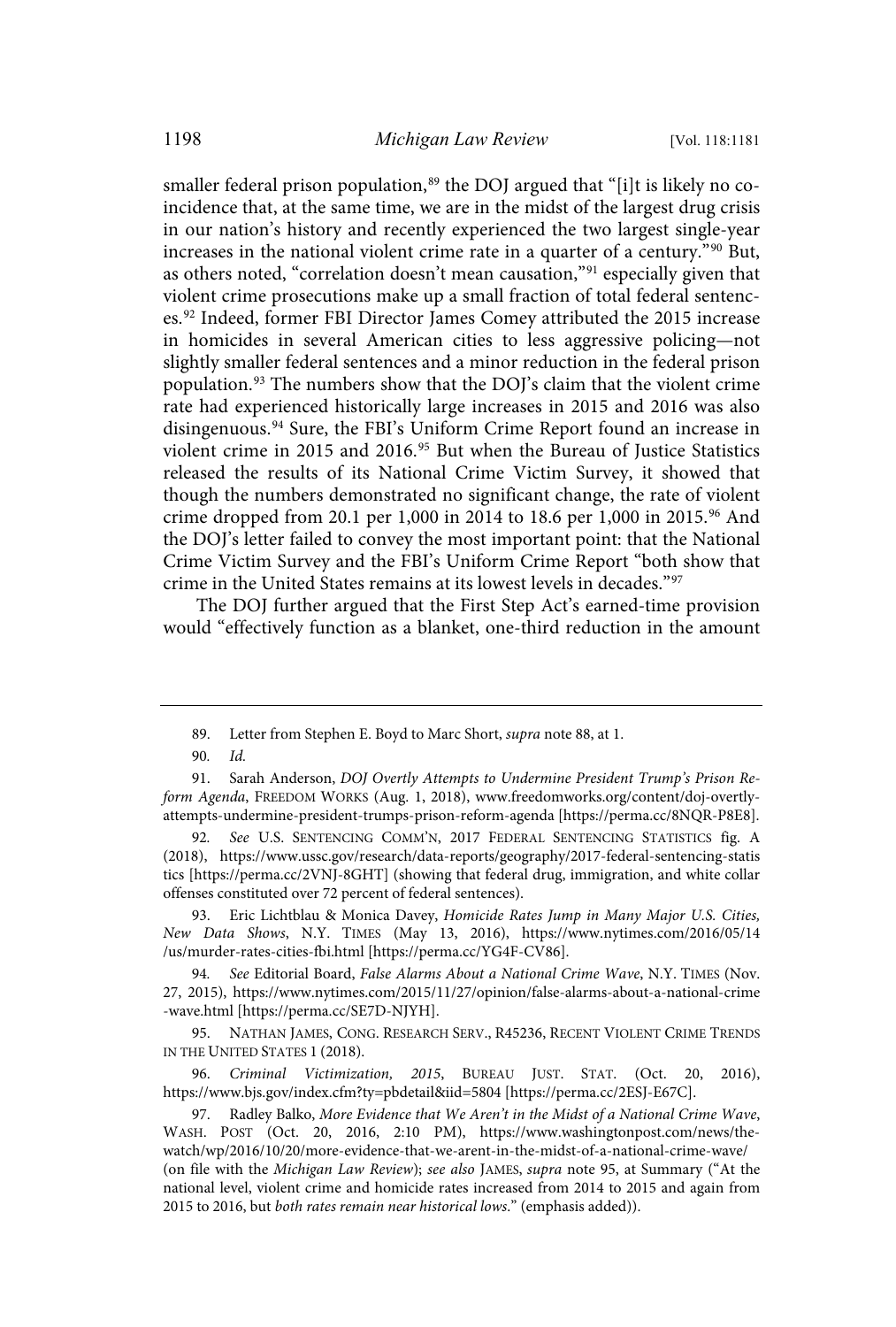smaller federal prison population,<sup>89</sup> the DOJ argued that "[i]t is likely no coincidence that, at the same time, we are in the midst of the largest drug crisis in our nation's history and recently experienced the two largest single-year increases in the national violent crime rate in a quarter of a century."<sup>90</sup> But, as others noted, "correlation doesn't mean causation," <sup>91</sup> especially given that violent crime prosecutions make up a small fraction of total federal sentences.<sup>92</sup> Indeed, former FBI Director James Comey attributed the 2015 increase in homicides in several American cities to less aggressive policing—not slightly smaller federal sentences and a minor reduction in the federal prison population. <sup>93</sup> The numbers show that the DOJ's claim that the violent crime rate had experienced historically large increases in 2015 and 2016 was also disingenuous.<sup>94</sup> Sure, the FBI's Uniform Crime Report found an increase in violent crime in 2015 and 2016.<sup>95</sup> But when the Bureau of Justice Statistics released the results of its National Crime Victim Survey, it showed that though the numbers demonstrated no significant change, the rate of violent crime dropped from 20.1 per 1,000 in 2014 to 18.6 per 1,000 in 2015. <sup>96</sup> And the DOJ's letter failed to convey the most important point: that the National Crime Victim Survey and the FBI's Uniform Crime Report "both show that crime in the United States remains at its lowest levels in decades."<sup>97</sup>

The DOJ further argued that the First Step Act's earned-time provision would "effectively function as a blanket, one-third reduction in the amount

96. Criminal Victimization, 2015, BUREAU JUST. STAT. (Oct. 20, 2016), https://www.bjs.gov/index.cfm?ty=pbdetail&iid=5804 [https://perma.cc/2ESJ-E67C].

<sup>89.</sup> Letter from Stephen E. Boyd to Marc Short, supra note 88, at 1.

<sup>90</sup>. Id.

<sup>91.</sup> Sarah Anderson, DOJ Overtly Attempts to Undermine President Trump's Prison Reform Agenda, FREEDOM WORKS (Aug. 1, 2018), www.freedomworks.org/content/doj-overtlyattempts-undermine-president-trumps-prison-reform-agenda [https://perma.cc/8NQR-P8E8].

<sup>92</sup>. See U.S. SENTENCING COMM'N, 2017 FEDERAL SENTENCING STATISTICS fig. A (2018), https://www.ussc.gov/research/data-reports/geography/2017-federal-sentencing-statis tics [https://perma.cc/2VNJ-8GHT] (showing that federal drug, immigration, and white collar offenses constituted over 72 percent of federal sentences).

<sup>93.</sup> Eric Lichtblau & Monica Davey, Homicide Rates Jump in Many Major U.S. Cities, New Data Shows, N.Y. TIMES (May 13, 2016), https://www.nytimes.com/2016/05/14 /us/murder-rates-cities-fbi.html [https://perma.cc/YG4F-CV86].

<sup>94</sup>. See Editorial Board, False Alarms About a National Crime Wave, N.Y. TIMES (Nov. 27, 2015), https://www.nytimes.com/2015/11/27/opinion/false-alarms-about-a-national-crime -wave.html [https://perma.cc/SE7D-NJYH].

<sup>95.</sup> NATHAN JAMES, CONG. RESEARCH SERV., R45236, RECENT VIOLENT CRIME TRENDS IN THE UNITED STATES 1 (2018).

<sup>97.</sup> Radley Balko, More Evidence that We Aren't in the Midst of a National Crime Wave, WASH. POST (Oct. 20, 2016, 2:10 PM), https://www.washingtonpost.com/news/thewatch/wp/2016/10/20/more-evidence-that-we-arent-in-the-midst-of-a-national-crime-wave/ (on file with the Michigan Law Review); see also JAMES, supra note 95, at Summary ("At the national level, violent crime and homicide rates increased from 2014 to 2015 and again from 2015 to 2016, but both rates remain near historical lows." (emphasis added)).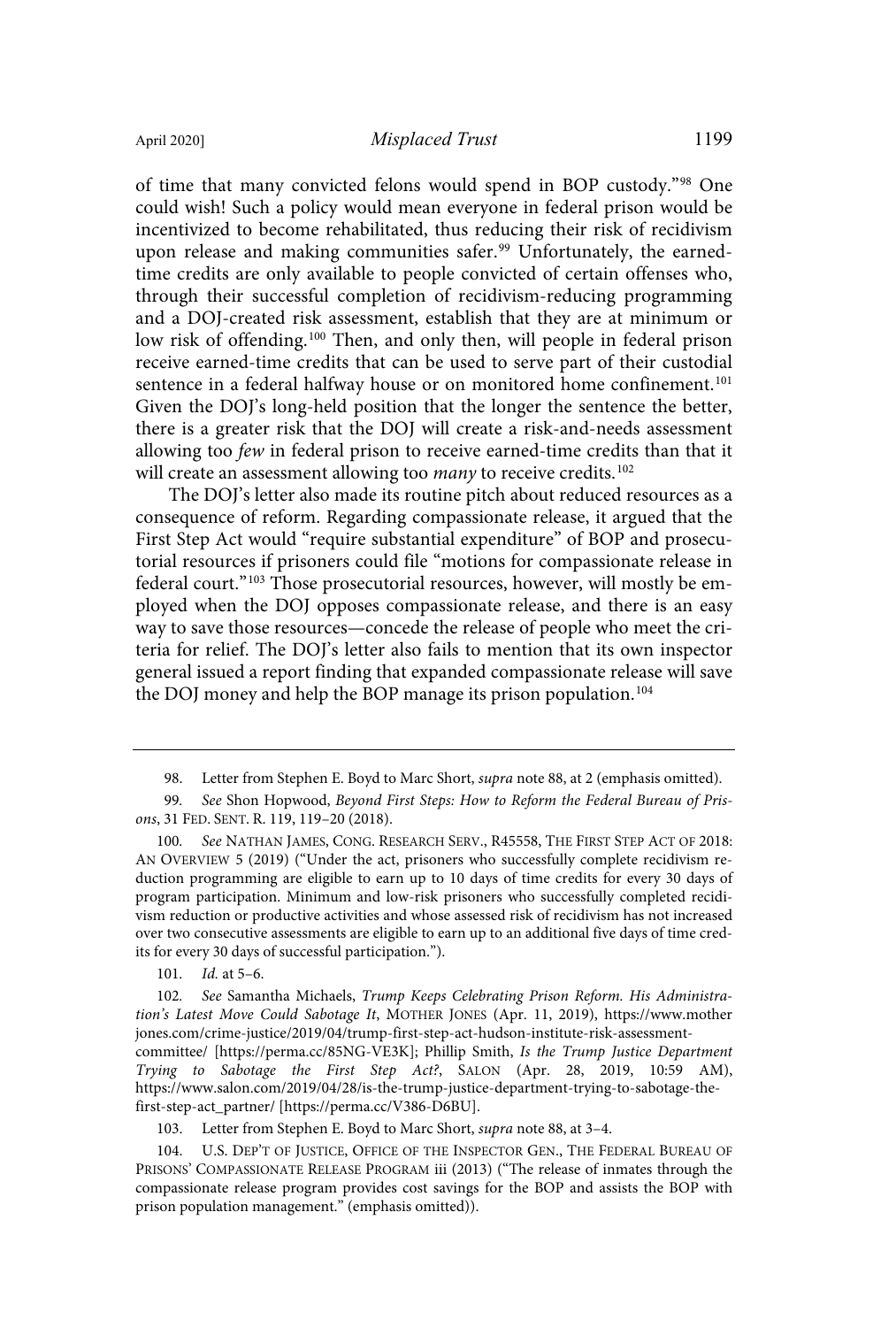of time that many convicted felons would spend in BOP custody."<sup>98</sup> One could wish! Such a policy would mean everyone in federal prison would be incentivized to become rehabilitated, thus reducing their risk of recidivism upon release and making communities safer.<sup>99</sup> Unfortunately, the earnedtime credits are only available to people convicted of certain offenses who, through their successful completion of recidivism-reducing programming and a DOJ-created risk assessment, establish that they are at minimum or low risk of offending.<sup>100</sup> Then, and only then, will people in federal prison receive earned-time credits that can be used to serve part of their custodial sentence in a federal halfway house or on monitored home confinement.<sup>101</sup> Given the DOJ's long-held position that the longer the sentence the better, there is a greater risk that the DOJ will create a risk-and-needs assessment allowing too few in federal prison to receive earned-time credits than that it will create an assessment allowing too many to receive credits.<sup>102</sup>

The DOJ's letter also made its routine pitch about reduced resources as a consequence of reform. Regarding compassionate release, it argued that the First Step Act would "require substantial expenditure" of BOP and prosecutorial resources if prisoners could file "motions for compassionate release in federal court."<sup>103</sup> Those prosecutorial resources, however, will mostly be employed when the DOJ opposes compassionate release, and there is an easy way to save those resources—concede the release of people who meet the criteria for relief. The DOJ's letter also fails to mention that its own inspector general issued a report finding that expanded compassionate release will save the DOJ money and help the BOP manage its prison population.<sup>104</sup>

101. Id. at 5–6.

<sup>98.</sup> Letter from Stephen E. Boyd to Marc Short, *supra* note 88, at 2 (emphasis omitted).

<sup>99</sup>. See Shon Hopwood, Beyond First Steps: How to Reform the Federal Bureau of Prisons, 31 FED. SENT. R. 119, 119–20 (2018).

<sup>100</sup>. See NATHAN JAMES, CONG. RESEARCH SERV., R45558, THE FIRST STEP ACT OF 2018: AN OVERVIEW 5 (2019) ("Under the act, prisoners who successfully complete recidivism reduction programming are eligible to earn up to 10 days of time credits for every 30 days of program participation. Minimum and low-risk prisoners who successfully completed recidivism reduction or productive activities and whose assessed risk of recidivism has not increased over two consecutive assessments are eligible to earn up to an additional five days of time credits for every 30 days of successful participation.").

<sup>102</sup>. See Samantha Michaels, Trump Keeps Celebrating Prison Reform. His Administration's Latest Move Could Sabotage It, MOTHER JONES (Apr. 11, 2019), https://www.mother jones.com/crime-justice/2019/04/trump-first-step-act-hudson-institute-risk-assessmentcommittee/ [https://perma.cc/85NG-VE3K]; Phillip Smith, Is the Trump Justice Department Trying to Sabotage the First Step Act?, SALON (Apr. 28, 2019, 10:59 AM), https://www.salon.com/2019/04/28/is-the-trump-justice-department-trying-to-sabotage-thefirst-step-act\_partner/ [https://perma.cc/V386-D6BU].

<sup>103.</sup> Letter from Stephen E. Boyd to Marc Short, supra note 88, at 3–4.

<sup>104.</sup> U.S. DEP'T OF JUSTICE, OFFICE OF THE INSPECTOR GEN., THE FEDERAL BUREAU OF PRISONS' COMPASSIONATE RELEASE PROGRAM iii (2013) ("The release of inmates through the compassionate release program provides cost savings for the BOP and assists the BOP with prison population management." (emphasis omitted)).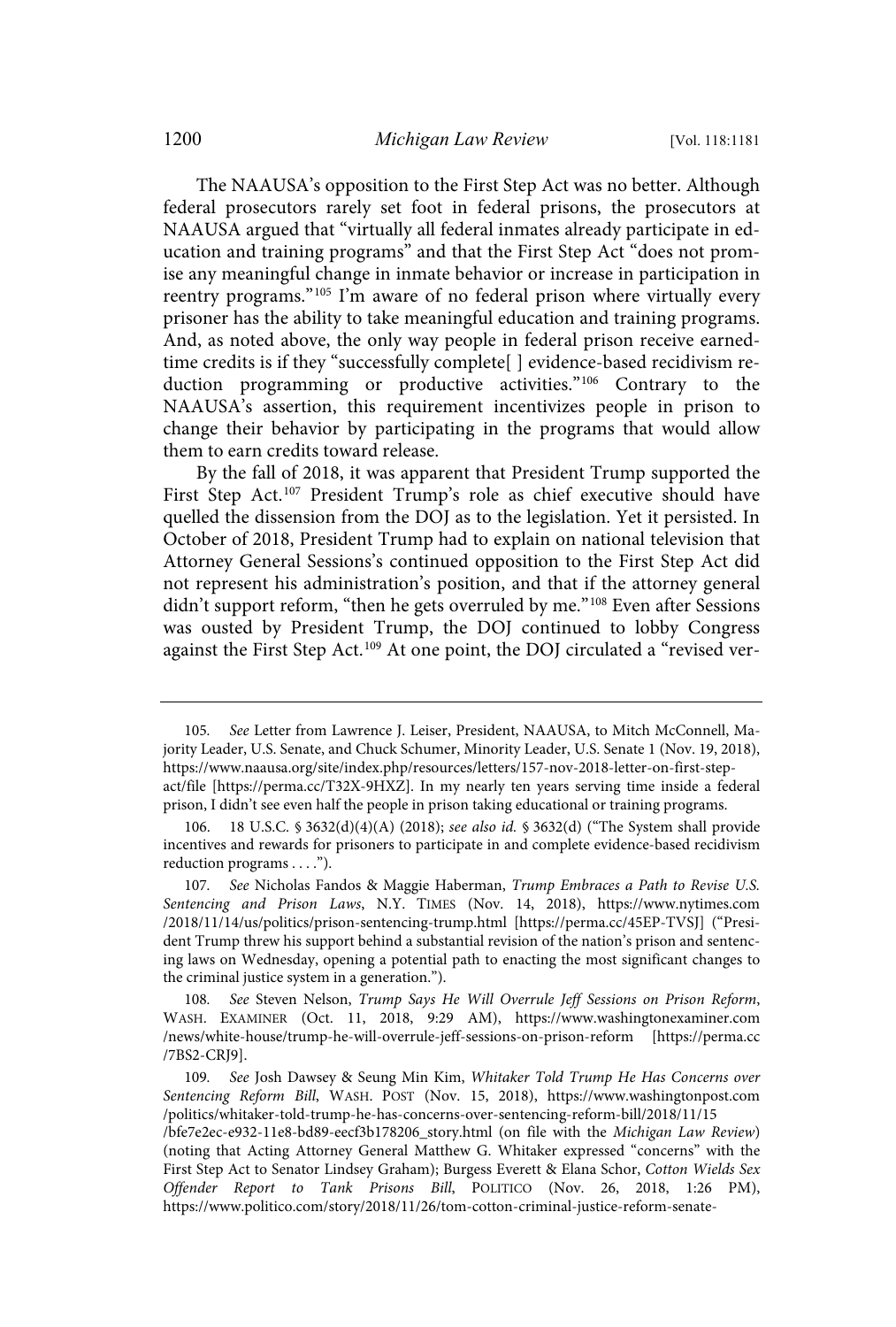The NAAUSA's opposition to the First Step Act was no better. Although federal prosecutors rarely set foot in federal prisons, the prosecutors at NAAUSA argued that "virtually all federal inmates already participate in education and training programs" and that the First Step Act "does not promise any meaningful change in inmate behavior or increase in participation in reentry programs." <sup>105</sup> I'm aware of no federal prison where virtually every prisoner has the ability to take meaningful education and training programs. And, as noted above, the only way people in federal prison receive earnedtime credits is if they "successfully complete[ ] evidence-based recidivism reduction programming or productive activities."<sup>106</sup> Contrary to the NAAUSA's assertion, this requirement incentivizes people in prison to change their behavior by participating in the programs that would allow them to earn credits toward release.

By the fall of 2018, it was apparent that President Trump supported the First Step Act.<sup>107</sup> President Trump's role as chief executive should have quelled the dissension from the DOJ as to the legislation. Yet it persisted. In October of 2018, President Trump had to explain on national television that Attorney General Sessions's continued opposition to the First Step Act did not represent his administration's position, and that if the attorney general didn't support reform, "then he gets overruled by me." <sup>108</sup> Even after Sessions was ousted by President Trump, the DOJ continued to lobby Congress against the First Step Act.<sup>109</sup> At one point, the DOJ circulated a "revised ver-

<sup>105</sup>. See Letter from Lawrence J. Leiser, President, NAAUSA, to Mitch McConnell, Majority Leader, U.S. Senate, and Chuck Schumer, Minority Leader, U.S. Senate 1 (Nov. 19, 2018), https://www.naausa.org/site/index.php/resources/letters/157-nov-2018-letter-on-first-stepact/file [https://perma.cc/T32X-9HXZ]. In my nearly ten years serving time inside a federal prison, I didn't see even half the people in prison taking educational or training programs.

<sup>18</sup> U.S.C. § 3632(d)(4)(A) (2018); see also id. § 3632(d) ("The System shall provide incentives and rewards for prisoners to participate in and complete evidence-based recidivism reduction programs . . . .").

<sup>107</sup>. See Nicholas Fandos & Maggie Haberman, Trump Embraces a Path to Revise U.S. Sentencing and Prison Laws, N.Y. TIMES (Nov. 14, 2018), https://www.nytimes.com /2018/11/14/us/politics/prison-sentencing-trump.html [https://perma.cc/45EP-TVSJ] ("President Trump threw his support behind a substantial revision of the nation's prison and sentencing laws on Wednesday, opening a potential path to enacting the most significant changes to the criminal justice system in a generation.").

<sup>108</sup>. See Steven Nelson, Trump Says He Will Overrule Jeff Sessions on Prison Reform, WASH. EXAMINER (Oct. 11, 2018, 9:29 AM), https://www.washingtonexaminer.com /news/white-house/trump-he-will-overrule-jeff-sessions-on-prison-reform [https://perma.cc /7BS2-CRJ9].

<sup>109</sup>. See Josh Dawsey & Seung Min Kim, Whitaker Told Trump He Has Concerns over Sentencing Reform Bill, WASH. POST (Nov. 15, 2018), https://www.washingtonpost.com /politics/whitaker-told-trump-he-has-concerns-over-sentencing-reform-bill/2018/11/15

<sup>/</sup>bfe7e2ec-e932-11e8-bd89-eecf3b178206\_story.html (on file with the Michigan Law Review) (noting that Acting Attorney General Matthew G. Whitaker expressed "concerns" with the First Step Act to Senator Lindsey Graham); Burgess Everett & Elana Schor, Cotton Wields Sex Offender Report to Tank Prisons Bill, POLITICO (Nov. 26, 2018, 1:26 PM), https://www.politico.com/story/2018/11/26/tom-cotton-criminal-justice-reform-senate-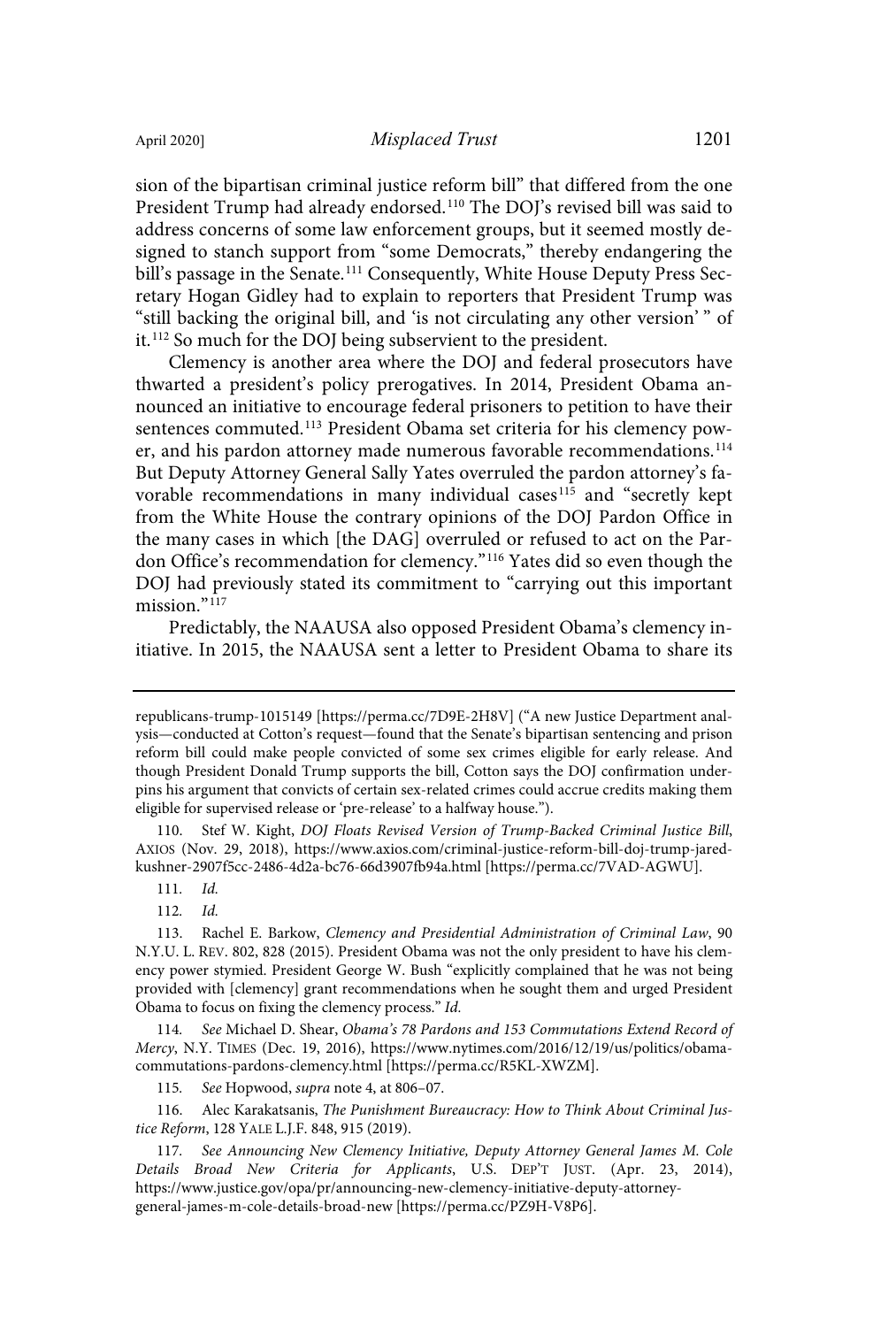sion of the bipartisan criminal justice reform bill" that differed from the one President Trump had already endorsed.<sup>110</sup> The DOJ's revised bill was said to address concerns of some law enforcement groups, but it seemed mostly designed to stanch support from "some Democrats," thereby endangering the bill's passage in the Senate.<sup>111</sup> Consequently, White House Deputy Press Secretary Hogan Gidley had to explain to reporters that President Trump was "still backing the original bill, and 'is not circulating any other version' " of it. <sup>112</sup> So much for the DOJ being subservient to the president.

Clemency is another area where the DOJ and federal prosecutors have thwarted a president's policy prerogatives. In 2014, President Obama announced an initiative to encourage federal prisoners to petition to have their sentences commuted.<sup>113</sup> President Obama set criteria for his clemency power, and his pardon attorney made numerous favorable recommendations.<sup>114</sup> But Deputy Attorney General Sally Yates overruled the pardon attorney's favorable recommendations in many individual cases<sup>115</sup> and "secretly kept from the White House the contrary opinions of the DOJ Pardon Office in the many cases in which [the DAG] overruled or refused to act on the Pardon Office's recommendation for clemency."<sup>116</sup> Yates did so even though the DOJ had previously stated its commitment to "carrying out this important mission."<sup>117</sup>

Predictably, the NAAUSA also opposed President Obama's clemency initiative. In 2015, the NAAUSA sent a letter to President Obama to share its

Stef W. Kight, DOJ Floats Revised Version of Trump-Backed Criminal Justice Bill, AXIOS (Nov. 29, 2018), https://www.axios.com/criminal-justice-reform-bill-doj-trump-jaredkushner-2907f5cc-2486-4d2a-bc76-66d3907fb94a.html [https://perma.cc/7VAD-AGWU].

111. Id.

112. Id.

114. See Michael D. Shear, Obama's 78 Pardons and 153 Commutations Extend Record of Mercy, N.Y. TIMES (Dec. 19, 2016), https://www.nytimes.com/2016/12/19/us/politics/obamacommutations-pardons-clemency.html [https://perma.cc/R5KL-XWZM].

115. See Hopwood, supra note 4, at 806-07.

116. Alec Karakatsanis, The Punishment Bureaucracy: How to Think About Criminal Justice Reform, 128 YALE L.J.F. 848, 915 (2019).

117. See Announcing New Clemency Initiative, Deputy Attorney General James M. Cole Details Broad New Criteria for Applicants, U.S. DEP'T JUST. (Apr. 23, 2014), https://www.justice.gov/opa/pr/announcing-new-clemency-initiative-deputy-attorneygeneral-james-m-cole-details-broad-new [https://perma.cc/PZ9H-V8P6].

republicans-trump-1015149 [https://perma.cc/7D9E-2H8V] ("A new Justice Department analysis—conducted at Cotton's request—found that the Senate's bipartisan sentencing and prison reform bill could make people convicted of some sex crimes eligible for early release. And though President Donald Trump supports the bill, Cotton says the DOJ confirmation underpins his argument that convicts of certain sex-related crimes could accrue credits making them eligible for supervised release or 'pre-release' to a halfway house.").

<sup>113.</sup> Rachel E. Barkow, Clemency and Presidential Administration of Criminal Law, 90 N.Y.U. L. REV. 802, 828 (2015). President Obama was not the only president to have his clemency power stymied. President George W. Bush "explicitly complained that he was not being provided with [clemency] grant recommendations when he sought them and urged President Obama to focus on fixing the clemency process." Id.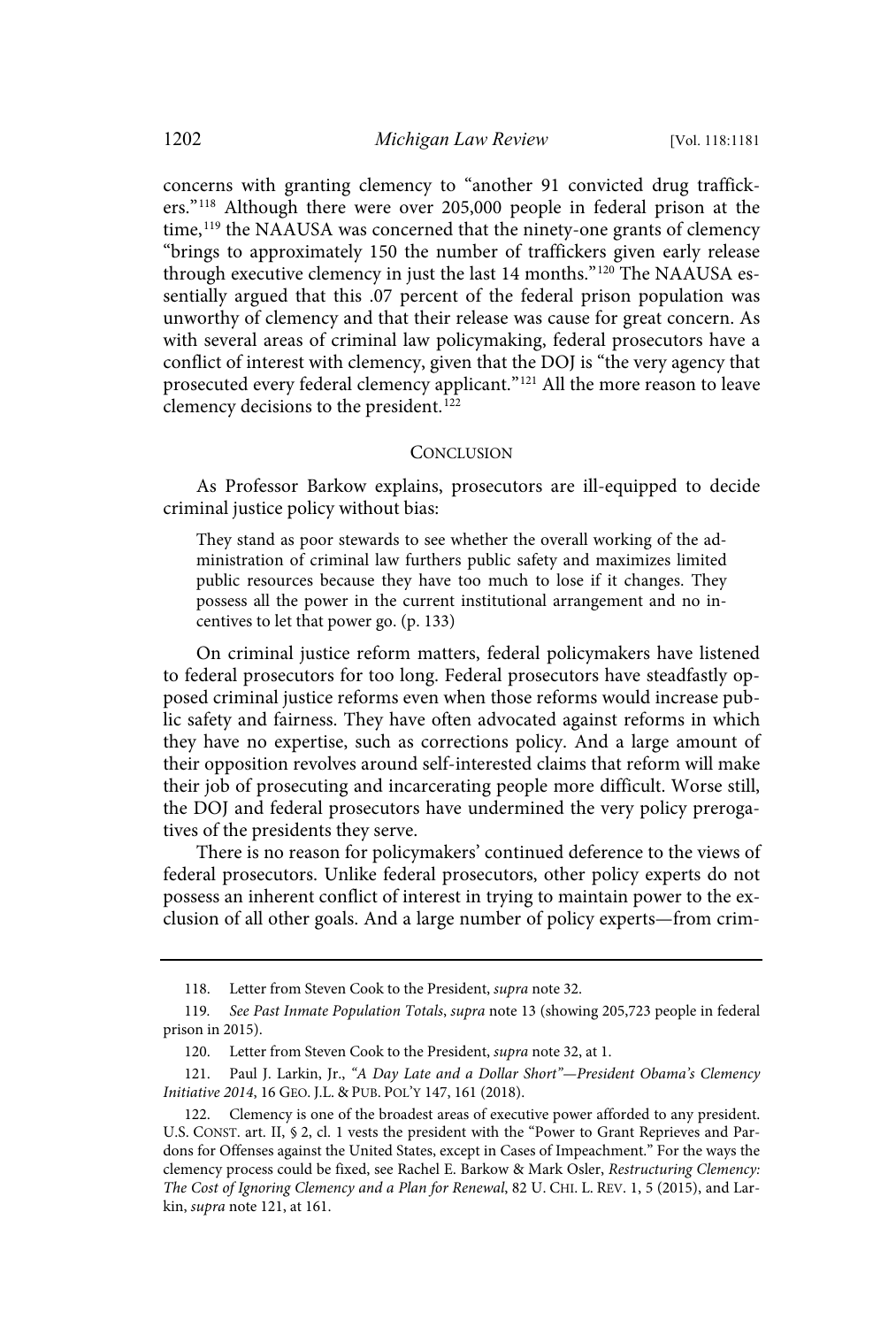concerns with granting clemency to "another 91 convicted drug traffickers." <sup>118</sup> Although there were over 205,000 people in federal prison at the time,<sup>119</sup> the NAAUSA was concerned that the ninety-one grants of clemency "brings to approximately 150 the number of traffickers given early release through executive clemency in just the last 14 months." <sup>120</sup> The NAAUSA essentially argued that this .07 percent of the federal prison population was unworthy of clemency and that their release was cause for great concern. As with several areas of criminal law policymaking, federal prosecutors have a conflict of interest with clemency, given that the DOJ is "the very agency that prosecuted every federal clemency applicant."<sup>121</sup> All the more reason to leave clemency decisions to the president.<sup>122</sup>

#### **CONCLUSION**

As Professor Barkow explains, prosecutors are ill-equipped to decide criminal justice policy without bias:

They stand as poor stewards to see whether the overall working of the administration of criminal law furthers public safety and maximizes limited public resources because they have too much to lose if it changes. They possess all the power in the current institutional arrangement and no incentives to let that power go. (p. 133)

On criminal justice reform matters, federal policymakers have listened to federal prosecutors for too long. Federal prosecutors have steadfastly opposed criminal justice reforms even when those reforms would increase public safety and fairness. They have often advocated against reforms in which they have no expertise, such as corrections policy. And a large amount of their opposition revolves around self-interested claims that reform will make their job of prosecuting and incarcerating people more difficult. Worse still, the DOJ and federal prosecutors have undermined the very policy prerogatives of the presidents they serve.

There is no reason for policymakers' continued deference to the views of federal prosecutors. Unlike federal prosecutors, other policy experts do not possess an inherent conflict of interest in trying to maintain power to the exclusion of all other goals. And a large number of policy experts—from crim-

<sup>118.</sup> Letter from Steven Cook to the President, supra note 32.

<sup>119</sup>. See Past Inmate Population Totals, supra note 13 (showing 205,723 people in federal prison in 2015).

<sup>120.</sup> Letter from Steven Cook to the President, *supra* note 32, at 1.

<sup>121.</sup> Paul J. Larkin, Jr., "A Day Late and a Dollar Short"-President Obama's Clemency Initiative 2014, 16 GEO. J.L. & PUB. POL'Y 147, 161 (2018).

<sup>122.</sup> Clemency is one of the broadest areas of executive power afforded to any president. U.S. CONST. art. II, § 2, cl. 1 vests the president with the "Power to Grant Reprieves and Pardons for Offenses against the United States, except in Cases of Impeachment." For the ways the clemency process could be fixed, see Rachel E. Barkow & Mark Osler, Restructuring Clemency: The Cost of Ignoring Clemency and a Plan for Renewal, 82 U. CHI. L. REV. 1, 5 (2015), and Larkin, supra note 121, at 161.